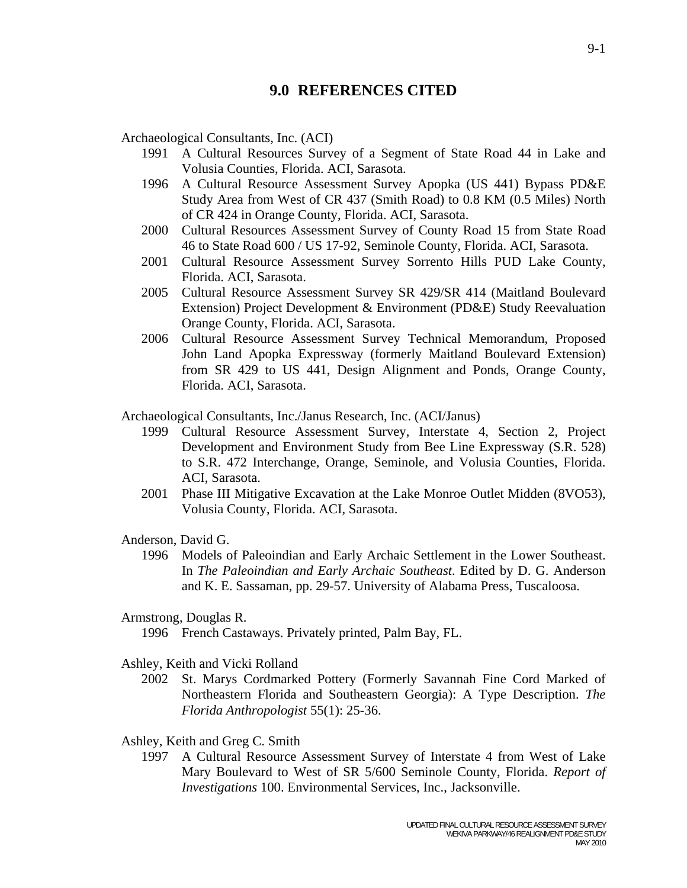# **9.0 REFERENCES CITED**

Archaeological Consultants, Inc. (ACI)

- 1991 A Cultural Resources Survey of a Segment of State Road 44 in Lake and Volusia Counties, Florida. ACI, Sarasota.
- 1996 A Cultural Resource Assessment Survey Apopka (US 441) Bypass PD&E Study Area from West of CR 437 (Smith Road) to 0.8 KM (0.5 Miles) North of CR 424 in Orange County, Florida. ACI, Sarasota.
- 2000 Cultural Resources Assessment Survey of County Road 15 from State Road 46 to State Road 600 / US 17-92, Seminole County, Florida. ACI, Sarasota.
- 2001 Cultural Resource Assessment Survey Sorrento Hills PUD Lake County, Florida. ACI, Sarasota.
- 2005 Cultural Resource Assessment Survey SR 429/SR 414 (Maitland Boulevard Extension) Project Development & Environment (PD&E) Study Reevaluation Orange County, Florida. ACI, Sarasota.
- 2006 Cultural Resource Assessment Survey Technical Memorandum, Proposed John Land Apopka Expressway (formerly Maitland Boulevard Extension) from SR 429 to US 441, Design Alignment and Ponds, Orange County, Florida. ACI, Sarasota.
- Archaeological Consultants, Inc./Janus Research, Inc. (ACI/Janus)
	- 1999 Cultural Resource Assessment Survey, Interstate 4, Section 2, Project Development and Environment Study from Bee Line Expressway (S.R. 528) to S.R. 472 Interchange, Orange, Seminole, and Volusia Counties, Florida. ACI, Sarasota.
	- 2001 Phase III Mitigative Excavation at the Lake Monroe Outlet Midden (8VO53), Volusia County, Florida. ACI, Sarasota.
- Anderson, David G.
	- 1996 Models of Paleoindian and Early Archaic Settlement in the Lower Southeast. In *The Paleoindian and Early Archaic Southeast*. Edited by D. G. Anderson and K. E. Sassaman, pp. 29-57. University of Alabama Press, Tuscaloosa.
- Armstrong, Douglas R.

1996 French Castaways. Privately printed, Palm Bay, FL.

- Ashley, Keith and Vicki Rolland
	- 2002 St. Marys Cordmarked Pottery (Formerly Savannah Fine Cord Marked of Northeastern Florida and Southeastern Georgia): A Type Description. *The Florida Anthropologist* 55(1): 25-36.
- Ashley, Keith and Greg C. Smith
	- 1997 A Cultural Resource Assessment Survey of Interstate 4 from West of Lake Mary Boulevard to West of SR 5/600 Seminole County, Florida. *Report of Investigations* 100. Environmental Services, Inc., Jacksonville.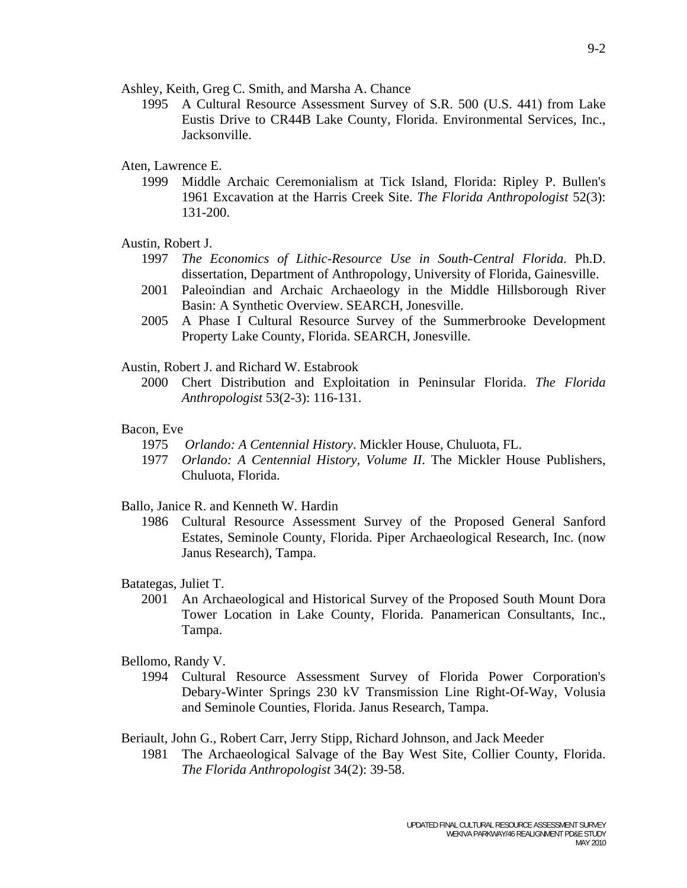Ashley, Keith, Greg C. Smith, and Marsha A. Chance

 1995 A Cultural Resource Assessment Survey of S.R. 500 (U.S. 441) from Lake Eustis Drive to CR44B Lake County, Florida. Environmental Services, Inc., Jacksonville.

## Aten, Lawrence E.

 1999 Middle Archaic Ceremonialism at Tick Island, Florida: Ripley P. Bullen's 1961 Excavation at the Harris Creek Site. *The Florida Anthropologist* 52(3): 131-200.

### Austin, Robert J.

- 1997 *The Economics of Lithic-Resource Use in South-Central Florida.* Ph.D. dissertation, Department of Anthropology, University of Florida, Gainesville.
- 2001 Paleoindian and Archaic Archaeology in the Middle Hillsborough River Basin: A Synthetic Overview. SEARCH, Jonesville.
- 2005 A Phase I Cultural Resource Survey of the Summerbrooke Development Property Lake County, Florida. SEARCH, Jonesville.

## Austin, Robert J. and Richard W. Estabrook

 2000 Chert Distribution and Exploitation in Peninsular Florida. *The Florida Anthropologist* 53(2-3): 116-131.

### Bacon, Eve

- 1975 *Orlando: A Centennial History*. Mickler House, Chuluota, FL.
- 1977 *Orlando: A Centennial History, Volume II*. The Mickler House Publishers, Chuluota, Florida.

## Ballo, Janice R. and Kenneth W. Hardin

 1986 Cultural Resource Assessment Survey of the Proposed General Sanford Estates, Seminole County, Florida. Piper Archaeological Research, Inc. (now Janus Research), Tampa.

### Batategas, Juliet T.

 2001 An Archaeological and Historical Survey of the Proposed South Mount Dora Tower Location in Lake County, Florida. Panamerican Consultants, Inc., Tampa.

## Bellomo, Randy V.

 1994 Cultural Resource Assessment Survey of Florida Power Corporation's Debary-Winter Springs 230 kV Transmission Line Right-Of-Way, Volusia and Seminole Counties, Florida. Janus Research, Tampa.

Beriault, John G., Robert Carr, Jerry Stipp, Richard Johnson, and Jack Meeder

 1981 The Archaeological Salvage of the Bay West Site, Collier County, Florida. *The Florida Anthropologist* 34(2): 39-58.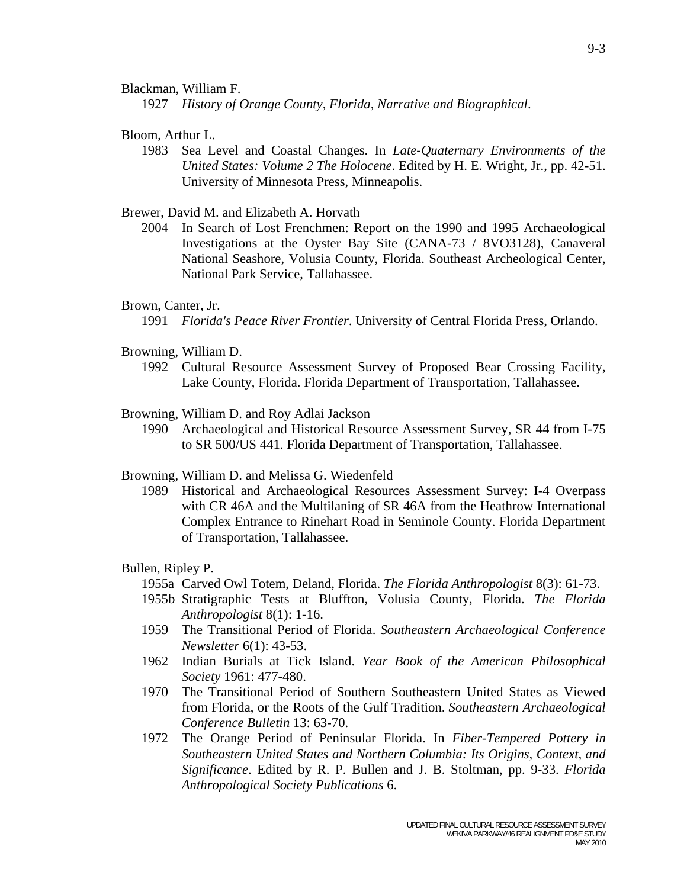#### Blackman, William F.

1927 *History of Orange County, Florida, Narrative and Biographical*.

## Bloom, Arthur L.

 1983 Sea Level and Coastal Changes. In *Late-Quaternary Environments of the United States: Volume 2 The Holocene*. Edited by H. E. Wright, Jr., pp. 42-51. University of Minnesota Press, Minneapolis.

### Brewer, David M. and Elizabeth A. Horvath

 2004 In Search of Lost Frenchmen: Report on the 1990 and 1995 Archaeological Investigations at the Oyster Bay Site (CANA-73 / 8VO3128), Canaveral National Seashore, Volusia County, Florida. Southeast Archeological Center, National Park Service, Tallahassee.

### Brown, Canter, Jr.

1991 *Florida's Peace River Frontier*. University of Central Florida Press, Orlando.

- Browning, William D.
	- 1992 Cultural Resource Assessment Survey of Proposed Bear Crossing Facility, Lake County, Florida. Florida Department of Transportation, Tallahassee.
- Browning, William D. and Roy Adlai Jackson
	- 1990 Archaeological and Historical Resource Assessment Survey, SR 44 from I-75 to SR 500/US 441. Florida Department of Transportation, Tallahassee.
- Browning, William D. and Melissa G. Wiedenfeld
	- 1989 Historical and Archaeological Resources Assessment Survey: I-4 Overpass with CR 46A and the Multilaning of SR 46A from the Heathrow International Complex Entrance to Rinehart Road in Seminole County. Florida Department of Transportation, Tallahassee.

#### Bullen, Ripley P.

1955a Carved Owl Totem, Deland, Florida. *The Florida Anthropologist* 8(3): 61-73.

- 1955b Stratigraphic Tests at Bluffton, Volusia County, Florida. *The Florida Anthropologist* 8(1): 1-16.
- 1959 The Transitional Period of Florida. *Southeastern Archaeological Conference Newsletter* 6(1): 43-53.
- 1962 Indian Burials at Tick Island. *Year Book of the American Philosophical Society* 1961: 477-480.
- 1970 The Transitional Period of Southern Southeastern United States as Viewed from Florida, or the Roots of the Gulf Tradition. *Southeastern Archaeological Conference Bulletin* 13: 63-70.
- 1972 The Orange Period of Peninsular Florida. In *Fiber-Tempered Pottery in Southeastern United States and Northern Columbia: Its Origins, Context, and Significance*. Edited by R. P. Bullen and J. B. Stoltman, pp. 9-33. *Florida Anthropological Society Publications* 6.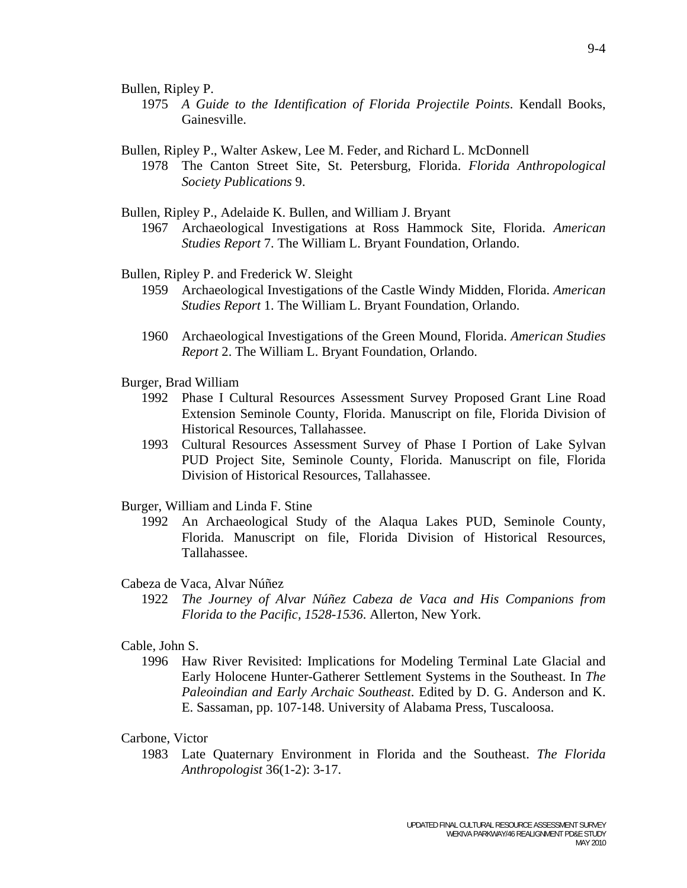Bullen, Ripley P.

 1975 *A Guide to the Identification of Florida Projectile Points*. Kendall Books, Gainesville.

Bullen, Ripley P., Walter Askew, Lee M. Feder, and Richard L. McDonnell

 1978 The Canton Street Site, St. Petersburg, Florida. *Florida Anthropological Society Publications* 9.

Bullen, Ripley P., Adelaide K. Bullen, and William J. Bryant

 1967 Archaeological Investigations at Ross Hammock Site, Florida. *American Studies Report* 7. The William L. Bryant Foundation, Orlando.

Bullen, Ripley P. and Frederick W. Sleight

- 1959 Archaeological Investigations of the Castle Windy Midden, Florida. *American Studies Report* 1. The William L. Bryant Foundation, Orlando.
	- 1960 Archaeological Investigations of the Green Mound, Florida. *American Studies Report* 2. The William L. Bryant Foundation, Orlando.

Burger, Brad William

- 1992 Phase I Cultural Resources Assessment Survey Proposed Grant Line Road Extension Seminole County, Florida. Manuscript on file, Florida Division of Historical Resources, Tallahassee.
- 1993 Cultural Resources Assessment Survey of Phase I Portion of Lake Sylvan PUD Project Site, Seminole County, Florida. Manuscript on file, Florida Division of Historical Resources, Tallahassee.

Burger, William and Linda F. Stine

 1992 An Archaeological Study of the Alaqua Lakes PUD, Seminole County, Florida. Manuscript on file, Florida Division of Historical Resources, Tallahassee.

### Cabeza de Vaca, Alvar Núñez

 1922 *The Journey of Alvar Núñez Cabeza de Vaca and His Companions from Florida to the Pacific, 1528-1536*. Allerton, New York.

#### Cable, John S.

 1996 Haw River Revisited: Implications for Modeling Terminal Late Glacial and Early Holocene Hunter-Gatherer Settlement Systems in the Southeast. In *The Paleoindian and Early Archaic Southeast*. Edited by D. G. Anderson and K. E. Sassaman, pp. 107-148. University of Alabama Press, Tuscaloosa.

## Carbone, Victor

 1983 Late Quaternary Environment in Florida and the Southeast. *The Florida Anthropologist* 36(1-2): 3-17.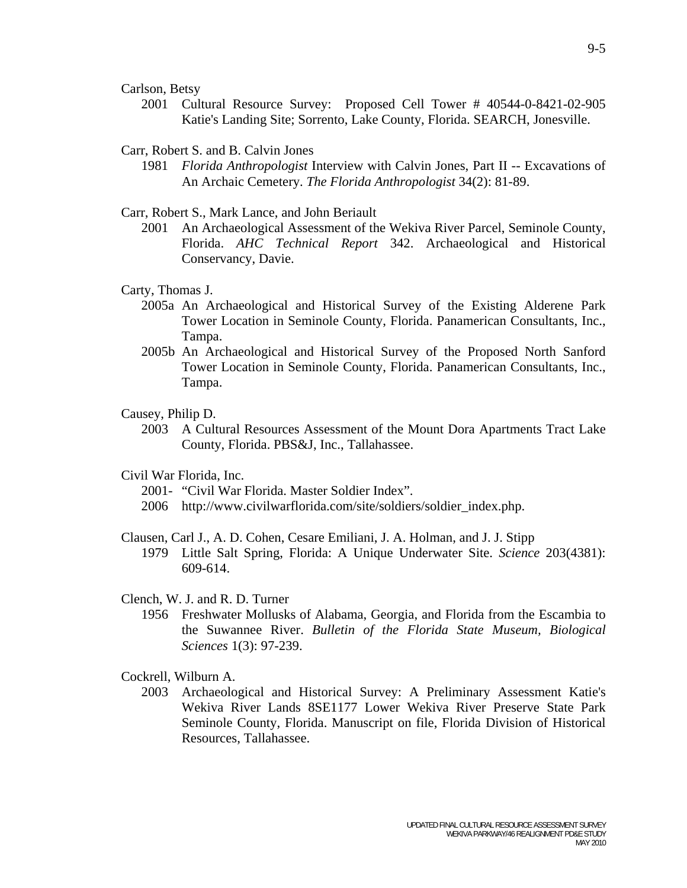Carlson, Betsy

 2001 Cultural Resource Survey: Proposed Cell Tower # 40544-0-8421-02-905 Katie's Landing Site; Sorrento, Lake County, Florida. SEARCH, Jonesville.

#### Carr, Robert S. and B. Calvin Jones

 1981 *Florida Anthropologist* Interview with Calvin Jones, Part II -- Excavations of An Archaic Cemetery. *The Florida Anthropologist* 34(2): 81-89.

Carr, Robert S., Mark Lance, and John Beriault

 2001 An Archaeological Assessment of the Wekiva River Parcel, Seminole County, Florida. *AHC Technical Report* 342. Archaeological and Historical Conservancy, Davie.

#### Carty, Thomas J.

- 2005a An Archaeological and Historical Survey of the Existing Alderene Park Tower Location in Seminole County, Florida. Panamerican Consultants, Inc., Tampa.
- 2005b An Archaeological and Historical Survey of the Proposed North Sanford Tower Location in Seminole County, Florida. Panamerican Consultants, Inc., Tampa.

### Causey, Philip D.

 2003 A Cultural Resources Assessment of the Mount Dora Apartments Tract Lake County, Florida. PBS&J, Inc., Tallahassee.

## Civil War Florida, Inc.

- 2001- "Civil War Florida. Master Soldier Index".
- 2006 http://www.civilwarflorida.com/site/soldiers/soldier\_index.php.

Clausen, Carl J., A. D. Cohen, Cesare Emiliani, J. A. Holman, and J. J. Stipp

 1979 Little Salt Spring, Florida: A Unique Underwater Site. *Science* 203(4381): 609-614.

# Clench, W. J. and R. D. Turner

 1956 Freshwater Mollusks of Alabama, Georgia, and Florida from the Escambia to the Suwannee River. *Bulletin of the Florida State Museum, Biological Sciences* 1(3): 97-239.

Cockrell, Wilburn A.

 2003 Archaeological and Historical Survey: A Preliminary Assessment Katie's Wekiva River Lands 8SE1177 Lower Wekiva River Preserve State Park Seminole County, Florida. Manuscript on file, Florida Division of Historical Resources, Tallahassee.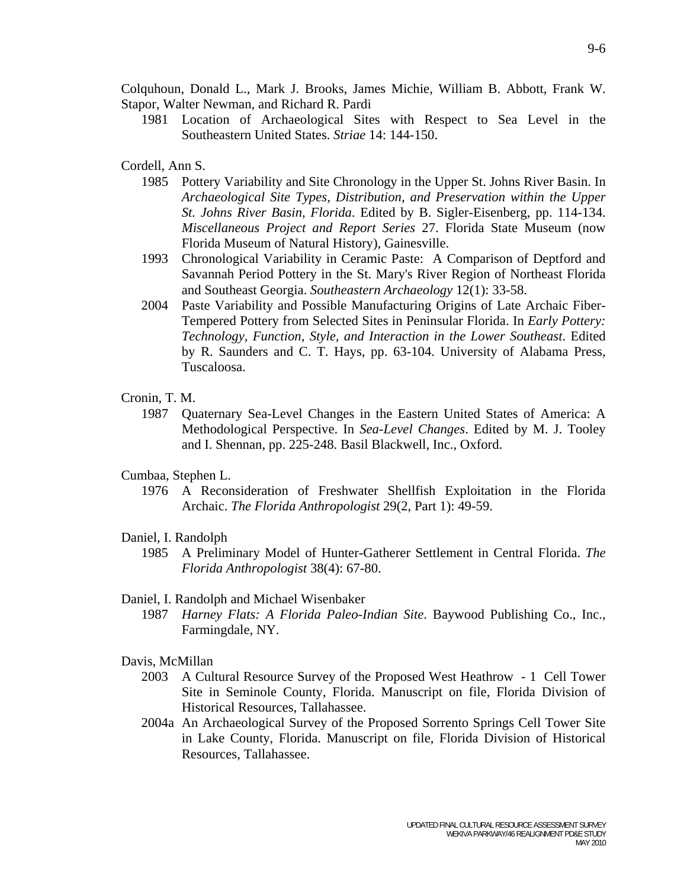Colquhoun, Donald L., Mark J. Brooks, James Michie, William B. Abbott, Frank W. Stapor, Walter Newman, and Richard R. Pardi

 1981 Location of Archaeological Sites with Respect to Sea Level in the Southeastern United States. *Striae* 14: 144-150.

## Cordell, Ann S.

- 1985 Pottery Variability and Site Chronology in the Upper St. Johns River Basin. In *Archaeological Site Types, Distribution, and Preservation within the Upper St. Johns River Basin, Florida*. Edited by B. Sigler-Eisenberg, pp. 114-134. *Miscellaneous Project and Report Series* 27. Florida State Museum (now Florida Museum of Natural History), Gainesville.
- 1993 Chronological Variability in Ceramic Paste: A Comparison of Deptford and Savannah Period Pottery in the St. Mary's River Region of Northeast Florida and Southeast Georgia. *Southeastern Archaeology* 12(1): 33-58.
- 2004 Paste Variability and Possible Manufacturing Origins of Late Archaic Fiber-Tempered Pottery from Selected Sites in Peninsular Florida. In *Early Pottery: Technology, Function, Style, and Interaction in the Lower Southeast*. Edited by R. Saunders and C. T. Hays, pp. 63-104. University of Alabama Press, Tuscaloosa.

#### Cronin, T. M.

 1987 Quaternary Sea-Level Changes in the Eastern United States of America: A Methodological Perspective. In *Sea-Level Changes*. Edited by M. J. Tooley and I. Shennan, pp. 225-248. Basil Blackwell, Inc., Oxford.

#### Cumbaa, Stephen L.

 1976 A Reconsideration of Freshwater Shellfish Exploitation in the Florida Archaic. *The Florida Anthropologist* 29(2, Part 1): 49-59.

#### Daniel, I. Randolph

 1985 A Preliminary Model of Hunter-Gatherer Settlement in Central Florida. *The Florida Anthropologist* 38(4): 67-80.

## Daniel, I. Randolph and Michael Wisenbaker

 1987 *Harney Flats: A Florida Paleo-Indian Site*. Baywood Publishing Co., Inc., Farmingdale, NY.

## Davis, McMillan

- 2003 A Cultural Resource Survey of the Proposed West Heathrow 1 Cell Tower Site in Seminole County, Florida. Manuscript on file, Florida Division of Historical Resources, Tallahassee.
- 2004a An Archaeological Survey of the Proposed Sorrento Springs Cell Tower Site in Lake County, Florida. Manuscript on file, Florida Division of Historical Resources, Tallahassee.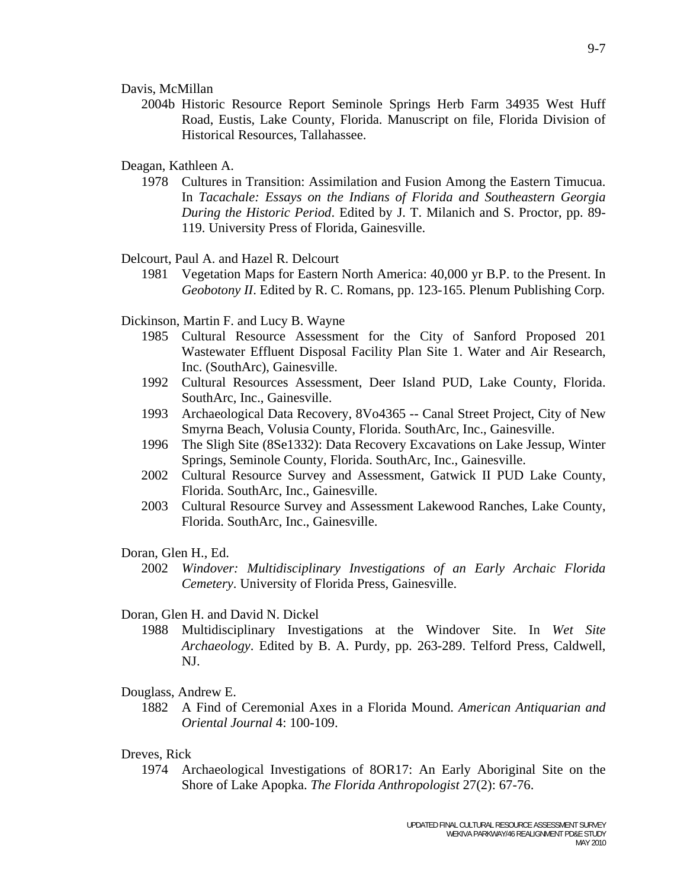Davis, McMillan

 2004b Historic Resource Report Seminole Springs Herb Farm 34935 West Huff Road, Eustis, Lake County, Florida. Manuscript on file, Florida Division of Historical Resources, Tallahassee.

Deagan, Kathleen A.

 1978 Cultures in Transition: Assimilation and Fusion Among the Eastern Timucua. In *Tacachale: Essays on the Indians of Florida and Southeastern Georgia During the Historic Period*. Edited by J. T. Milanich and S. Proctor, pp. 89- 119. University Press of Florida, Gainesville.

Delcourt, Paul A. and Hazel R. Delcourt

 1981 Vegetation Maps for Eastern North America: 40,000 yr B.P. to the Present. In *Geobotony II*. Edited by R. C. Romans, pp. 123-165. Plenum Publishing Corp.

Dickinson, Martin F. and Lucy B. Wayne

- 1985 Cultural Resource Assessment for the City of Sanford Proposed 201 Wastewater Effluent Disposal Facility Plan Site 1. Water and Air Research, Inc. (SouthArc), Gainesville.
- 1992 Cultural Resources Assessment, Deer Island PUD, Lake County, Florida. SouthArc, Inc., Gainesville.
- 1993 Archaeological Data Recovery, 8Vo4365 -- Canal Street Project, City of New Smyrna Beach, Volusia County, Florida. SouthArc, Inc., Gainesville.
- 1996 The Sligh Site (8Se1332): Data Recovery Excavations on Lake Jessup, Winter Springs, Seminole County, Florida. SouthArc, Inc., Gainesville.
- 2002 Cultural Resource Survey and Assessment, Gatwick II PUD Lake County, Florida. SouthArc, Inc., Gainesville.
- 2003 Cultural Resource Survey and Assessment Lakewood Ranches, Lake County, Florida. SouthArc, Inc., Gainesville.

#### Doran, Glen H., Ed.

 2002 *Windover: Multidisciplinary Investigations of an Early Archaic Florida Cemetery*. University of Florida Press, Gainesville.

### Doran, Glen H. and David N. Dickel

 1988 Multidisciplinary Investigations at the Windover Site. In *Wet Site Archaeology*. Edited by B. A. Purdy, pp. 263-289. Telford Press, Caldwell, NJ.

#### Douglass, Andrew E.

 1882 A Find of Ceremonial Axes in a Florida Mound. *American Antiquarian and Oriental Journal* 4: 100-109.

## Dreves, Rick

 1974 Archaeological Investigations of 8OR17: An Early Aboriginal Site on the Shore of Lake Apopka. *The Florida Anthropologist* 27(2): 67-76.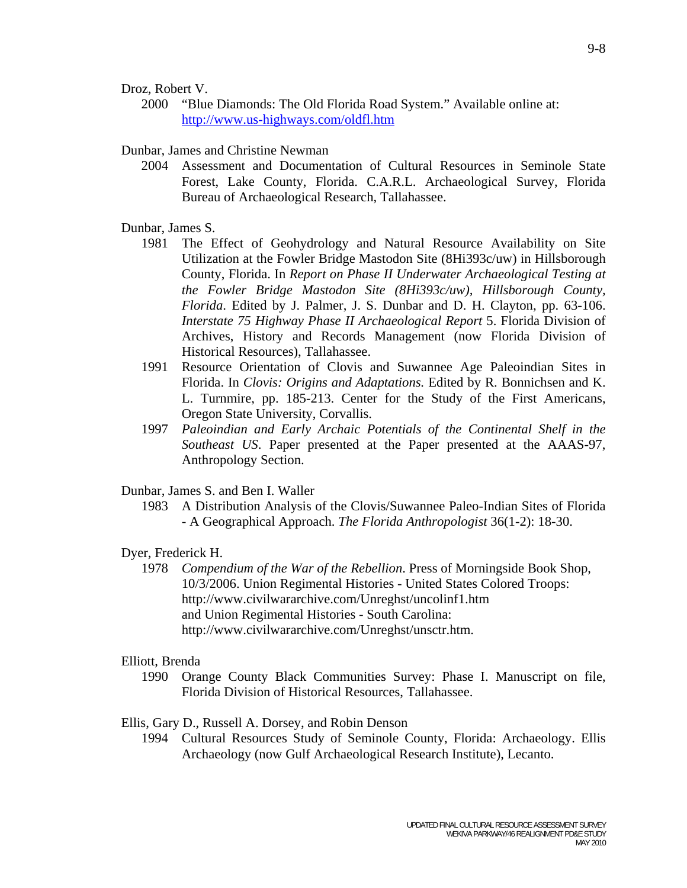Droz, Robert V.

 2000 "Blue Diamonds: The Old Florida Road System." Available online at: http://www.us-highways.com/oldfl.htm

## Dunbar, James and Christine Newman

 2004 Assessment and Documentation of Cultural Resources in Seminole State Forest, Lake County, Florida. C.A.R.L. Archaeological Survey, Florida Bureau of Archaeological Research, Tallahassee.

## Dunbar, James S.

- 1981 The Effect of Geohydrology and Natural Resource Availability on Site Utilization at the Fowler Bridge Mastodon Site (8Hi393c/uw) in Hillsborough County, Florida. In *Report on Phase II Underwater Archaeological Testing at the Fowler Bridge Mastodon Site (8Hi393c/uw), Hillsborough County, Florida*. Edited by J. Palmer, J. S. Dunbar and D. H. Clayton, pp. 63-106. *Interstate 75 Highway Phase II Archaeological Report* 5. Florida Division of Archives, History and Records Management (now Florida Division of Historical Resources), Tallahassee.
- 1991 Resource Orientation of Clovis and Suwannee Age Paleoindian Sites in Florida. In *Clovis: Origins and Adaptations.* Edited by R. Bonnichsen and K. L. Turnmire, pp. 185-213. Center for the Study of the First Americans, Oregon State University, Corvallis.
- 1997 *Paleoindian and Early Archaic Potentials of the Continental Shelf in the Southeast US*. Paper presented at the Paper presented at the AAAS-97, Anthropology Section.

# Dunbar, James S. and Ben I. Waller

 1983 A Distribution Analysis of the Clovis/Suwannee Paleo-Indian Sites of Florida - A Geographical Approach. *The Florida Anthropologist* 36(1-2): 18-30.

# Dyer, Frederick H.

 1978 *Compendium of the War of the Rebellion*. Press of Morningside Book Shop, 10/3/2006. Union Regimental Histories - United States Colored Troops: http://www.civilwararchive.com/Unreghst/uncolinf1.htm and Union Regimental Histories - South Carolina: http://www.civilwararchive.com/Unreghst/unsctr.htm.

## Elliott, Brenda

 1990 Orange County Black Communities Survey: Phase I. Manuscript on file, Florida Division of Historical Resources, Tallahassee.

## Ellis, Gary D., Russell A. Dorsey, and Robin Denson

 1994 Cultural Resources Study of Seminole County, Florida: Archaeology. Ellis Archaeology (now Gulf Archaeological Research Institute), Lecanto.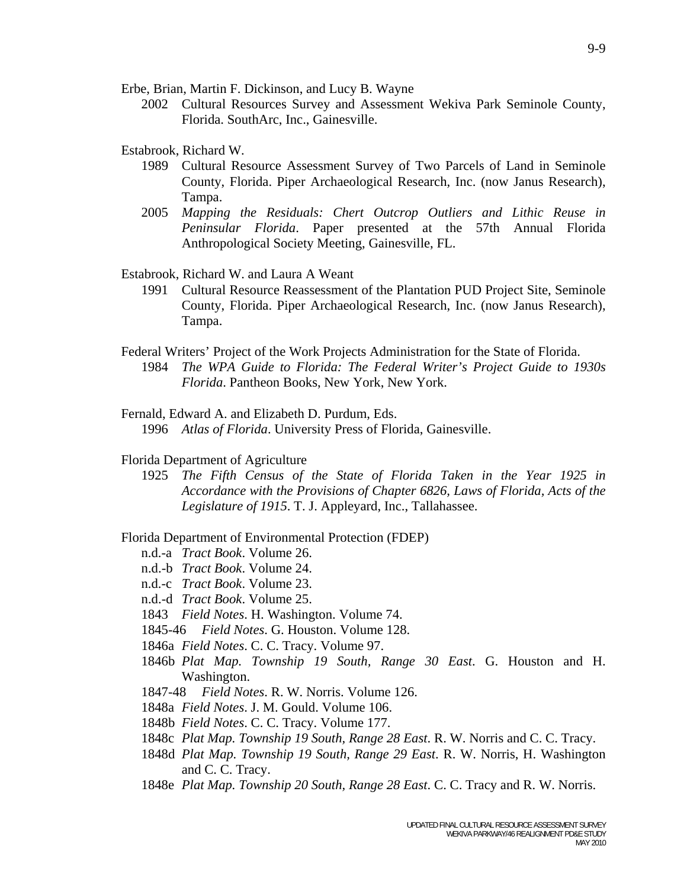Erbe, Brian, Martin F. Dickinson, and Lucy B. Wayne

 2002 Cultural Resources Survey and Assessment Wekiva Park Seminole County, Florida. SouthArc, Inc., Gainesville.

Estabrook, Richard W.

- 1989 Cultural Resource Assessment Survey of Two Parcels of Land in Seminole County, Florida. Piper Archaeological Research, Inc. (now Janus Research), Tampa.
- 2005 *Mapping the Residuals: Chert Outcrop Outliers and Lithic Reuse in Peninsular Florida*. Paper presented at the 57th Annual Florida Anthropological Society Meeting, Gainesville, FL.

Estabrook, Richard W. and Laura A Weant

- 1991 Cultural Resource Reassessment of the Plantation PUD Project Site, Seminole County, Florida. Piper Archaeological Research, Inc. (now Janus Research), Tampa.
- Federal Writers' Project of the Work Projects Administration for the State of Florida. 1984 *The WPA Guide to Florida: The Federal Writer's Project Guide to 1930s Florida*. Pantheon Books, New York, New York.
- Fernald, Edward A. and Elizabeth D. Purdum, Eds. 1996 *Atlas of Florida*. University Press of Florida, Gainesville.

#### Florida Department of Agriculture

 1925 *The Fifth Census of the State of Florida Taken in the Year 1925 in Accordance with the Provisions of Chapter 6826, Laws of Florida, Acts of the Legislature of 1915*. T. J. Appleyard, Inc., Tallahassee.

#### Florida Department of Environmental Protection (FDEP)

- n.d.-a *Tract Book*. Volume 26.
- n.d.-b *Tract Book*. Volume 24.
- n.d.-c *Tract Book*. Volume 23.
- n.d.-d *Tract Book*. Volume 25.
- 1843 *Field Notes*. H. Washington. Volume 74.
- 1845-46 *Field Notes*. G. Houston. Volume 128.
- 1846a *Field Notes*. C. C. Tracy. Volume 97.
- 1846b *Plat Map. Township 19 South, Range 30 East*. G. Houston and H. Washington.
- 1847-48 *Field Notes*. R. W. Norris. Volume 126.
- 1848a *Field Notes*. J. M. Gould. Volume 106.
- 1848b *Field Notes*. C. C. Tracy. Volume 177.
- 1848c *Plat Map. Township 19 South, Range 28 East*. R. W. Norris and C. C. Tracy.
- 1848d *Plat Map. Township 19 South, Range 29 East*. R. W. Norris, H. Washington and C. C. Tracy.
- 1848e *Plat Map. Township 20 South, Range 28 East*. C. C. Tracy and R. W. Norris.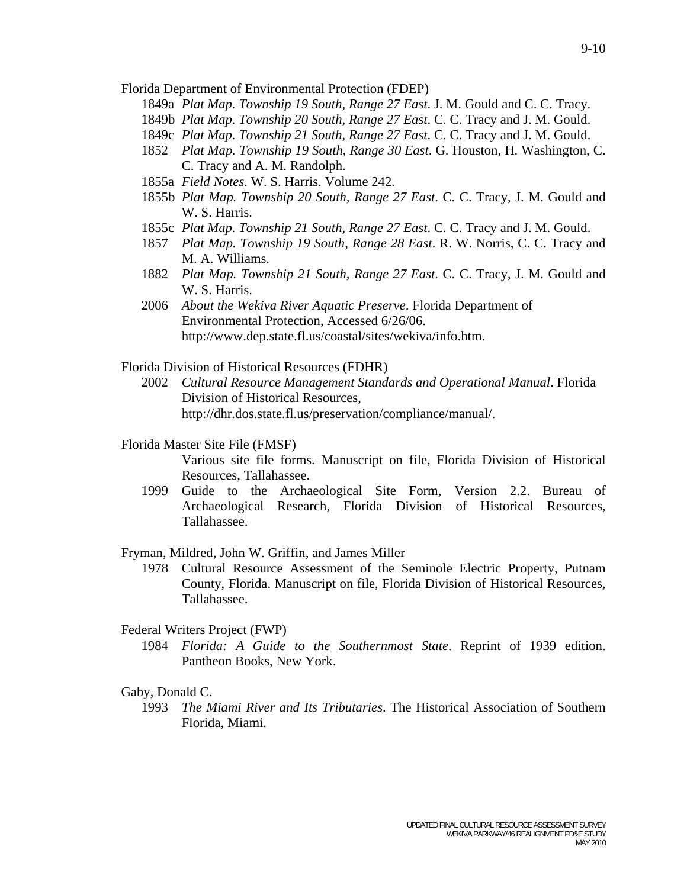Florida Department of Environmental Protection (FDEP)

- 1849a *Plat Map. Township 19 South, Range 27 East*. J. M. Gould and C. C. Tracy.
- 1849b *Plat Map. Township 20 South, Range 27 East*. C. C. Tracy and J. M. Gould.
- 1849c *Plat Map. Township 21 South, Range 27 East*. C. C. Tracy and J. M. Gould.
- 1852 *Plat Map. Township 19 South, Range 30 East*. G. Houston, H. Washington, C. C. Tracy and A. M. Randolph.
- 1855a *Field Notes*. W. S. Harris. Volume 242.
- 1855b *Plat Map. Township 20 South, Range 27 East*. C. C. Tracy, J. M. Gould and W. S. Harris.
- 1855c *Plat Map. Township 21 South, Range 27 East*. C. C. Tracy and J. M. Gould.
- 1857 *Plat Map. Township 19 South, Range 28 East*. R. W. Norris, C. C. Tracy and M. A. Williams.
- 1882 *Plat Map. Township 21 South, Range 27 East*. C. C. Tracy, J. M. Gould and W. S. Harris.
- 2006 *About the Wekiva River Aquatic Preserve*. Florida Department of Environmental Protection, Accessed 6/26/06. http://www.dep.state.fl.us/coastal/sites/wekiva/info.htm.

Florida Division of Historical Resources (FDHR)

 2002 *Cultural Resource Management Standards and Operational Manual*. Florida Division of Historical Resources, http://dhr.dos.state.fl.us/preservation/compliance/manual/.

Florida Master Site File (FMSF)

 Various site file forms. Manuscript on file, Florida Division of Historical Resources, Tallahassee.

 1999 Guide to the Archaeological Site Form, Version 2.2. Bureau of Archaeological Research, Florida Division of Historical Resources, Tallahassee.

# Fryman, Mildred, John W. Griffin, and James Miller

 1978 Cultural Resource Assessment of the Seminole Electric Property, Putnam County, Florida. Manuscript on file, Florida Division of Historical Resources, Tallahassee.

## Federal Writers Project (FWP)

 1984 *Florida: A Guide to the Southernmost State*. Reprint of 1939 edition. Pantheon Books, New York.

# Gaby, Donald C.

 1993 *The Miami River and Its Tributaries*. The Historical Association of Southern Florida, Miami.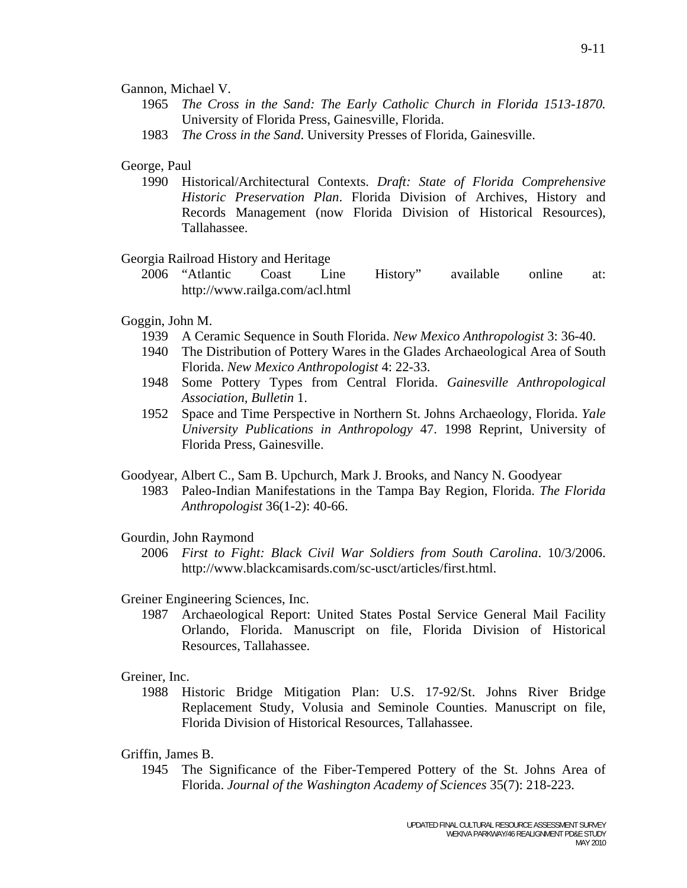## Gannon, Michael V.

- 1965 *The Cross in the Sand: The Early Catholic Church in Florida 1513-1870.* University of Florida Press, Gainesville, Florida.
- 1983 *The Cross in the Sand*. University Presses of Florida, Gainesville.

# George, Paul

 1990 Historical/Architectural Contexts. *Draft: State of Florida Comprehensive Historic Preservation Plan*. Florida Division of Archives, History and Records Management (now Florida Division of Historical Resources), Tallahassee.

# Georgia Railroad History and Heritage

 2006 "Atlantic Coast Line History" available online at: http://www.railga.com/acl.html

# Goggin, John M.

- 1939 A Ceramic Sequence in South Florida. *New Mexico Anthropologist* 3: 36-40.
- 1940 The Distribution of Pottery Wares in the Glades Archaeological Area of South Florida. *New Mexico Anthropologist* 4: 22-33.
- 1948 Some Pottery Types from Central Florida. *Gainesville Anthropological Association, Bulletin* 1.
- 1952 Space and Time Perspective in Northern St. Johns Archaeology, Florida. *Yale University Publications in Anthropology* 47. 1998 Reprint, University of Florida Press, Gainesville.

Goodyear, Albert C., Sam B. Upchurch, Mark J. Brooks, and Nancy N. Goodyear

 1983 Paleo-Indian Manifestations in the Tampa Bay Region, Florida. *The Florida Anthropologist* 36(1-2): 40-66.

# Gourdin, John Raymond

 2006 *First to Fight: Black Civil War Soldiers from South Carolina*. 10/3/2006. http://www.blackcamisards.com/sc-usct/articles/first.html.

# Greiner Engineering Sciences, Inc.

 1987 Archaeological Report: United States Postal Service General Mail Facility Orlando, Florida. Manuscript on file, Florida Division of Historical Resources, Tallahassee.

# Greiner, Inc.

 1988 Historic Bridge Mitigation Plan: U.S. 17-92/St. Johns River Bridge Replacement Study, Volusia and Seminole Counties. Manuscript on file, Florida Division of Historical Resources, Tallahassee.

# Griffin, James B.

 1945 The Significance of the Fiber-Tempered Pottery of the St. Johns Area of Florida. *Journal of the Washington Academy of Sciences* 35(7): 218-223.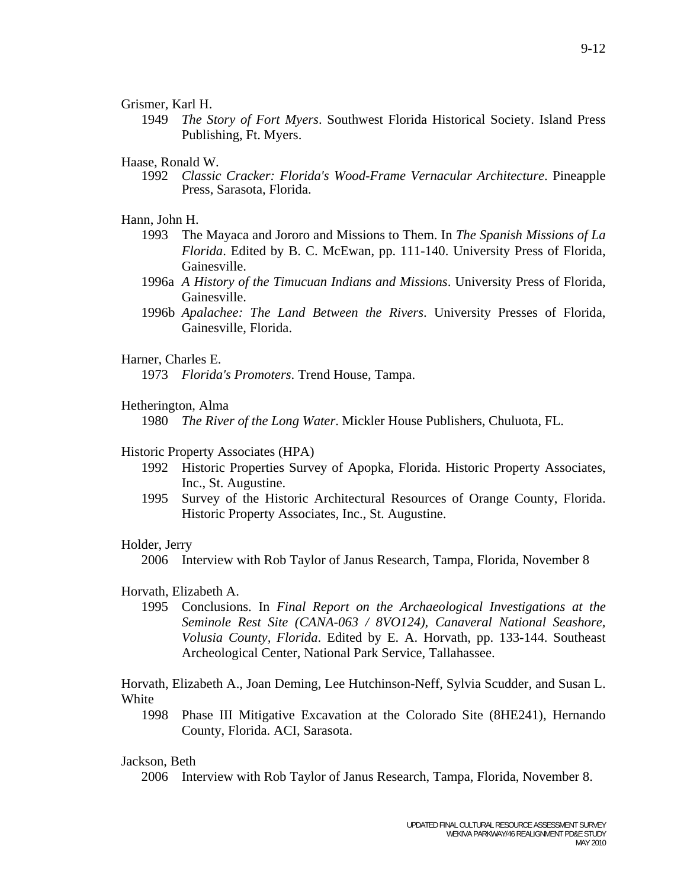## Grismer, Karl H.

 1949 *The Story of Fort Myers*. Southwest Florida Historical Society. Island Press Publishing, Ft. Myers.

## Haase, Ronald W.

 1992 *Classic Cracker: Florida's Wood-Frame Vernacular Architecture*. Pineapple Press, Sarasota, Florida.

### Hann, John H.

- 1993 The Mayaca and Jororo and Missions to Them. In *The Spanish Missions of La Florida*. Edited by B. C. McEwan, pp. 111-140. University Press of Florida, Gainesville.
- 1996a *A History of the Timucuan Indians and Missions*. University Press of Florida, Gainesville.
- 1996b *Apalachee: The Land Between the Rivers*. University Presses of Florida, Gainesville, Florida.

## Harner, Charles E.

1973 *Florida's Promoters*. Trend House, Tampa.

## Hetherington, Alma

1980 *The River of the Long Water*. Mickler House Publishers, Chuluota, FL.

### Historic Property Associates (HPA)

- 1992 Historic Properties Survey of Apopka, Florida. Historic Property Associates, Inc., St. Augustine.
- 1995 Survey of the Historic Architectural Resources of Orange County, Florida. Historic Property Associates, Inc., St. Augustine.

### Holder, Jerry

2006 Interview with Rob Taylor of Janus Research, Tampa, Florida, November 8

## Horvath, Elizabeth A.

 1995 Conclusions. In *Final Report on the Archaeological Investigations at the Seminole Rest Site (CANA-063 / 8VO124), Canaveral National Seashore, Volusia County, Florida*. Edited by E. A. Horvath, pp. 133-144. Southeast Archeological Center, National Park Service, Tallahassee.

Horvath, Elizabeth A., Joan Deming, Lee Hutchinson-Neff, Sylvia Scudder, and Susan L. White

 1998 Phase III Mitigative Excavation at the Colorado Site (8HE241), Hernando County, Florida. ACI, Sarasota.

## Jackson, Beth

2006 Interview with Rob Taylor of Janus Research, Tampa, Florida, November 8.

9-12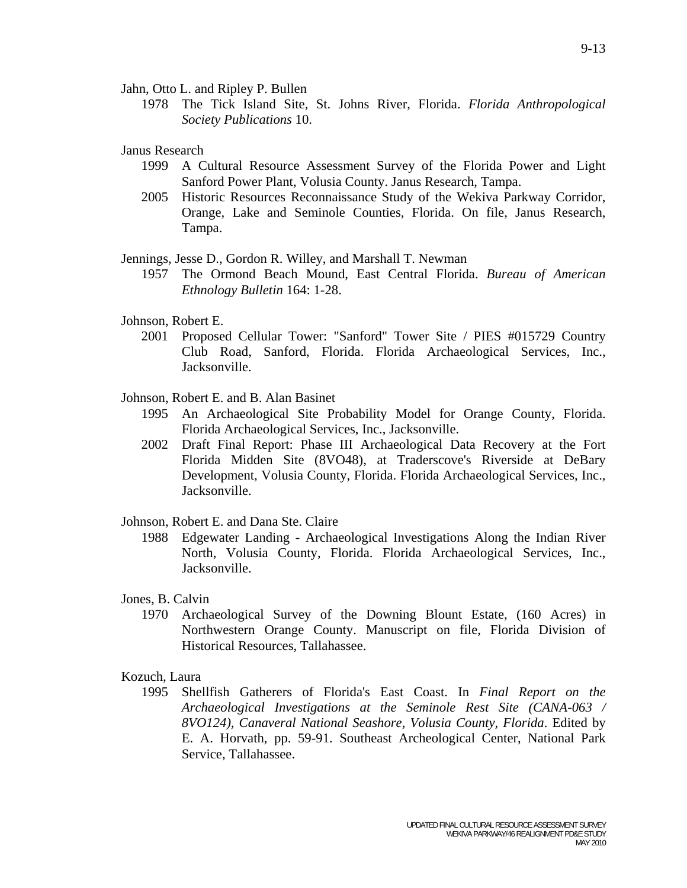Jahn, Otto L. and Ripley P. Bullen

 1978 The Tick Island Site, St. Johns River, Florida. *Florida Anthropological Society Publications* 10.

Janus Research

- 1999 A Cultural Resource Assessment Survey of the Florida Power and Light Sanford Power Plant, Volusia County. Janus Research, Tampa.
- 2005 Historic Resources Reconnaissance Study of the Wekiva Parkway Corridor, Orange, Lake and Seminole Counties, Florida. On file, Janus Research, Tampa.

Jennings, Jesse D., Gordon R. Willey, and Marshall T. Newman

 1957 The Ormond Beach Mound, East Central Florida. *Bureau of American Ethnology Bulletin* 164: 1-28.

## Johnson, Robert E.

- 2001 Proposed Cellular Tower: "Sanford" Tower Site / PIES #015729 Country Club Road, Sanford, Florida. Florida Archaeological Services, Inc., Jacksonville.
- Johnson, Robert E. and B. Alan Basinet
	- 1995 An Archaeological Site Probability Model for Orange County, Florida. Florida Archaeological Services, Inc., Jacksonville.
	- 2002 Draft Final Report: Phase III Archaeological Data Recovery at the Fort Florida Midden Site (8VO48), at Traderscove's Riverside at DeBary Development, Volusia County, Florida. Florida Archaeological Services, Inc., Jacksonville.

Johnson, Robert E. and Dana Ste. Claire

- 1988 Edgewater Landing Archaeological Investigations Along the Indian River North, Volusia County, Florida. Florida Archaeological Services, Inc., Jacksonville.
- Jones, B. Calvin
	- 1970 Archaeological Survey of the Downing Blount Estate, (160 Acres) in Northwestern Orange County. Manuscript on file, Florida Division of Historical Resources, Tallahassee.

## Kozuch, Laura

 1995 Shellfish Gatherers of Florida's East Coast. In *Final Report on the Archaeological Investigations at the Seminole Rest Site (CANA-063 / 8VO124), Canaveral National Seashore, Volusia County, Florida*. Edited by E. A. Horvath, pp. 59-91. Southeast Archeological Center, National Park Service, Tallahassee.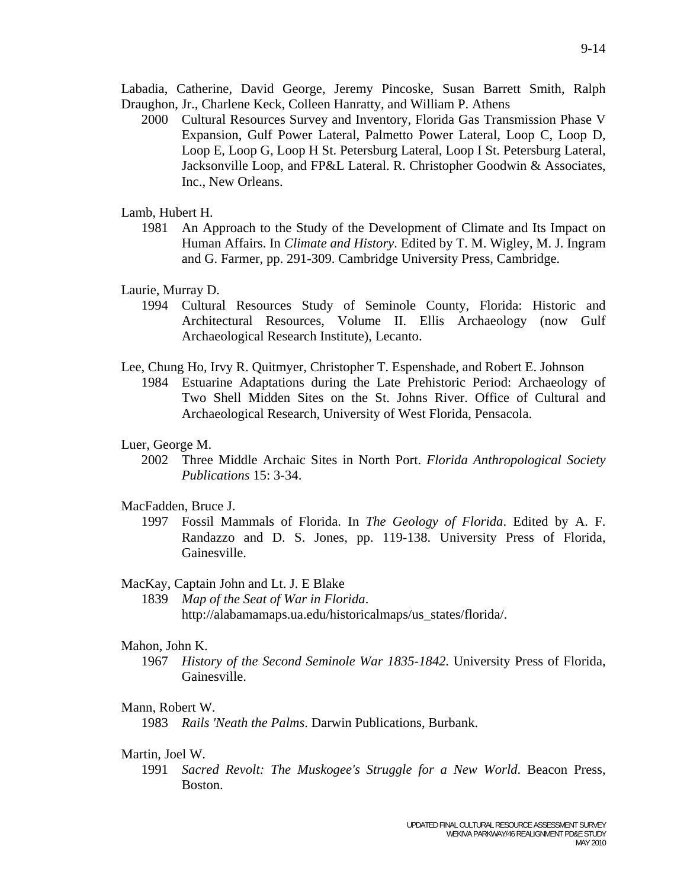Labadia, Catherine, David George, Jeremy Pincoske, Susan Barrett Smith, Ralph Draughon, Jr., Charlene Keck, Colleen Hanratty, and William P. Athens

 2000 Cultural Resources Survey and Inventory, Florida Gas Transmission Phase V Expansion, Gulf Power Lateral, Palmetto Power Lateral, Loop C, Loop D, Loop E, Loop G, Loop H St. Petersburg Lateral, Loop I St. Petersburg Lateral, Jacksonville Loop, and FP&L Lateral. R. Christopher Goodwin & Associates, Inc., New Orleans.

### Lamb, Hubert H.

 1981 An Approach to the Study of the Development of Climate and Its Impact on Human Affairs. In *Climate and History*. Edited by T. M. Wigley, M. J. Ingram and G. Farmer, pp. 291-309. Cambridge University Press, Cambridge.

## Laurie, Murray D.

- 1994 Cultural Resources Study of Seminole County, Florida: Historic and Architectural Resources, Volume II. Ellis Archaeology (now Gulf Archaeological Research Institute), Lecanto.
- Lee, Chung Ho, Irvy R. Quitmyer, Christopher T. Espenshade, and Robert E. Johnson
	- 1984 Estuarine Adaptations during the Late Prehistoric Period: Archaeology of Two Shell Midden Sites on the St. Johns River. Office of Cultural and Archaeological Research, University of West Florida, Pensacola.

## Luer, George M.

 2002 Three Middle Archaic Sites in North Port. *Florida Anthropological Society Publications* 15: 3-34.

## MacFadden, Bruce J.

 1997 Fossil Mammals of Florida. In *The Geology of Florida*. Edited by A. F. Randazzo and D. S. Jones, pp. 119-138. University Press of Florida, Gainesville.

#### MacKay, Captain John and Lt. J. E Blake

 1839 *Map of the Seat of War in Florida*. http://alabamamaps.ua.edu/historicalmaps/us\_states/florida/.

#### Mahon, John K.

 1967 *History of the Second Seminole War 1835-1842*. University Press of Florida, Gainesville.

### Mann, Robert W.

1983 *Rails 'Neath the Palms*. Darwin Publications, Burbank.

#### Martin, Joel W.

 1991 *Sacred Revolt: The Muskogee's Struggle for a New World*. Beacon Press, Boston.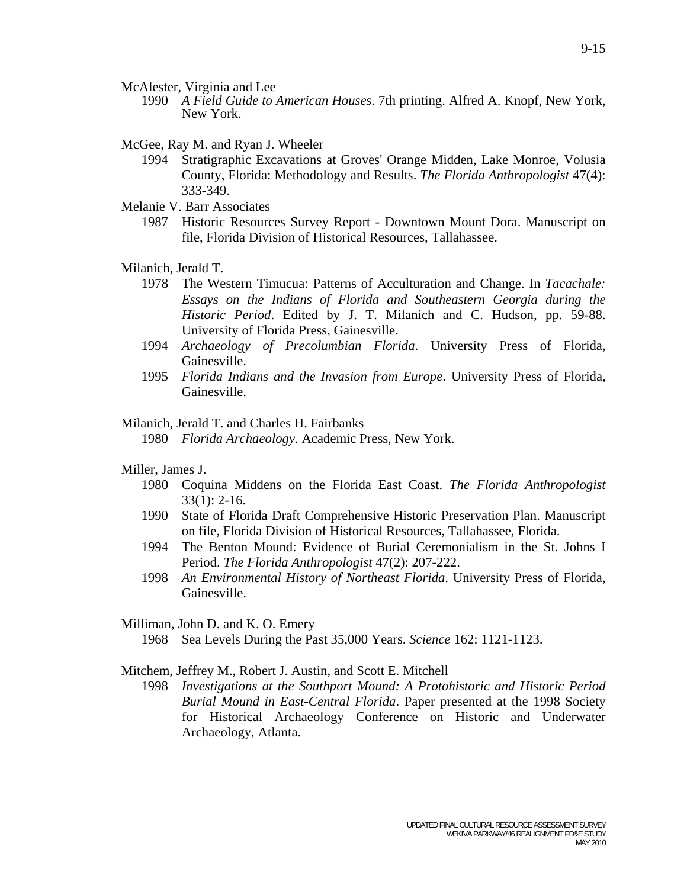- 1990 *A Field Guide to American Houses*. 7th printing. Alfred A. Knopf, New York, New York.
- McGee, Ray M. and Ryan J. Wheeler
	- 1994 Stratigraphic Excavations at Groves' Orange Midden, Lake Monroe, Volusia County, Florida: Methodology and Results. *The Florida Anthropologist* 47(4): 333-349.
- Melanie V. Barr Associates
	- 1987 Historic Resources Survey Report Downtown Mount Dora. Manuscript on file, Florida Division of Historical Resources, Tallahassee.

Milanich, Jerald T.

- 1978 The Western Timucua: Patterns of Acculturation and Change. In *Tacachale: Essays on the Indians of Florida and Southeastern Georgia during the Historic Period*. Edited by J. T. Milanich and C. Hudson, pp. 59-88. University of Florida Press, Gainesville.
- 1994 *Archaeology of Precolumbian Florida*. University Press of Florida, Gainesville.
- 1995 *Florida Indians and the Invasion from Europe*. University Press of Florida, Gainesville.

## Milanich, Jerald T. and Charles H. Fairbanks

1980 *Florida Archaeology*. Academic Press, New York.

#### Miller, James J.

- 1980 Coquina Middens on the Florida East Coast. *The Florida Anthropologist* 33(1): 2-16.
- 1990 State of Florida Draft Comprehensive Historic Preservation Plan. Manuscript on file, Florida Division of Historical Resources, Tallahassee, Florida.
- 1994 The Benton Mound: Evidence of Burial Ceremonialism in the St. Johns I Period. *The Florida Anthropologist* 47(2): 207-222.
- 1998 *An Environmental History of Northeast Florida*. University Press of Florida, Gainesville.

Milliman, John D. and K. O. Emery

1968 Sea Levels During the Past 35,000 Years. *Science* 162: 1121-1123.

Mitchem, Jeffrey M., Robert J. Austin, and Scott E. Mitchell

 1998 *Investigations at the Southport Mound: A Protohistoric and Historic Period Burial Mound in East-Central Florida*. Paper presented at the 1998 Society for Historical Archaeology Conference on Historic and Underwater Archaeology, Atlanta.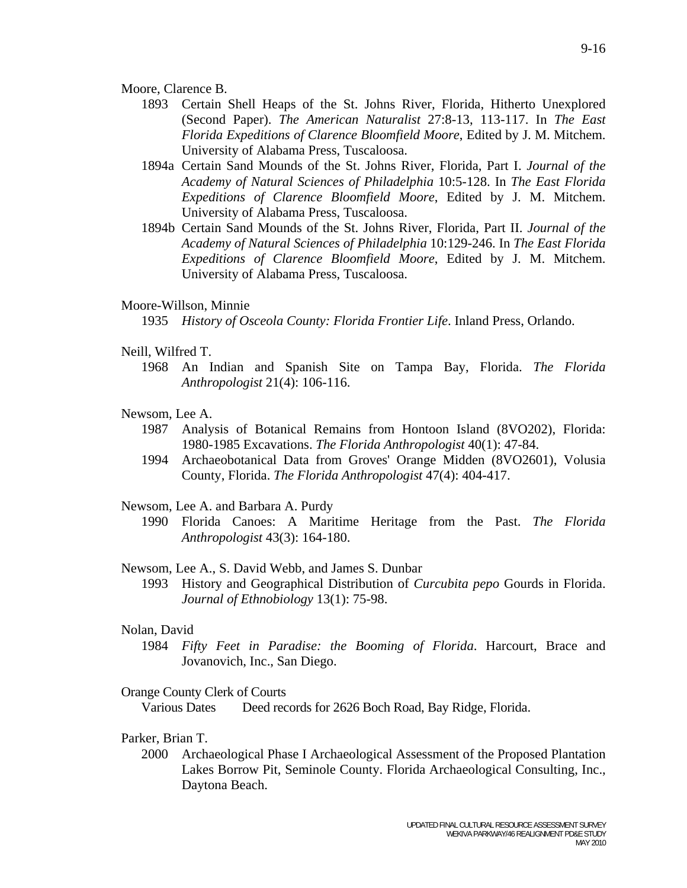- 1893 Certain Shell Heaps of the St. Johns River, Florida, Hitherto Unexplored (Second Paper). *The American Naturalist* 27:8-13, 113-117. In *The East Florida Expeditions of Clarence Bloomfield Moore*, Edited by J. M. Mitchem. University of Alabama Press, Tuscaloosa.
- 1894a Certain Sand Mounds of the St. Johns River, Florida, Part I. *Journal of the Academy of Natural Sciences of Philadelphia* 10:5-128. In *The East Florida Expeditions of Clarence Bloomfield Moore*, Edited by J. M. Mitchem. University of Alabama Press, Tuscaloosa.
- 1894b Certain Sand Mounds of the St. Johns River, Florida, Part II. *Journal of the Academy of Natural Sciences of Philadelphia* 10:129-246. In *The East Florida Expeditions of Clarence Bloomfield Moore*, Edited by J. M. Mitchem. University of Alabama Press, Tuscaloosa.

#### Moore-Willson, Minnie

1935 *History of Osceola County: Florida Frontier Life*. Inland Press, Orlando.

#### Neill, Wilfred T.

 1968 An Indian and Spanish Site on Tampa Bay, Florida. *The Florida Anthropologist* 21(4): 106-116.

## Newsom, Lee A.

- 1987 Analysis of Botanical Remains from Hontoon Island (8VO202), Florida: 1980-1985 Excavations. *The Florida Anthropologist* 40(1): 47-84.
- 1994 Archaeobotanical Data from Groves' Orange Midden (8VO2601), Volusia County, Florida. *The Florida Anthropologist* 47(4): 404-417.

#### Newsom, Lee A. and Barbara A. Purdy

 1990 Florida Canoes: A Maritime Heritage from the Past. *The Florida Anthropologist* 43(3): 164-180.

#### Newsom, Lee A., S. David Webb, and James S. Dunbar

 1993 History and Geographical Distribution of *Curcubita pepo* Gourds in Florida. *Journal of Ethnobiology* 13(1): 75-98.

## Nolan, David

 1984 *Fifty Feet in Paradise: the Booming of Florida*. Harcourt, Brace and Jovanovich, Inc., San Diego.

#### Orange County Clerk of Courts

Various Dates Deed records for 2626 Boch Road, Bay Ridge, Florida.

## Parker, Brian T.

 2000 Archaeological Phase I Archaeological Assessment of the Proposed Plantation Lakes Borrow Pit, Seminole County. Florida Archaeological Consulting, Inc., Daytona Beach.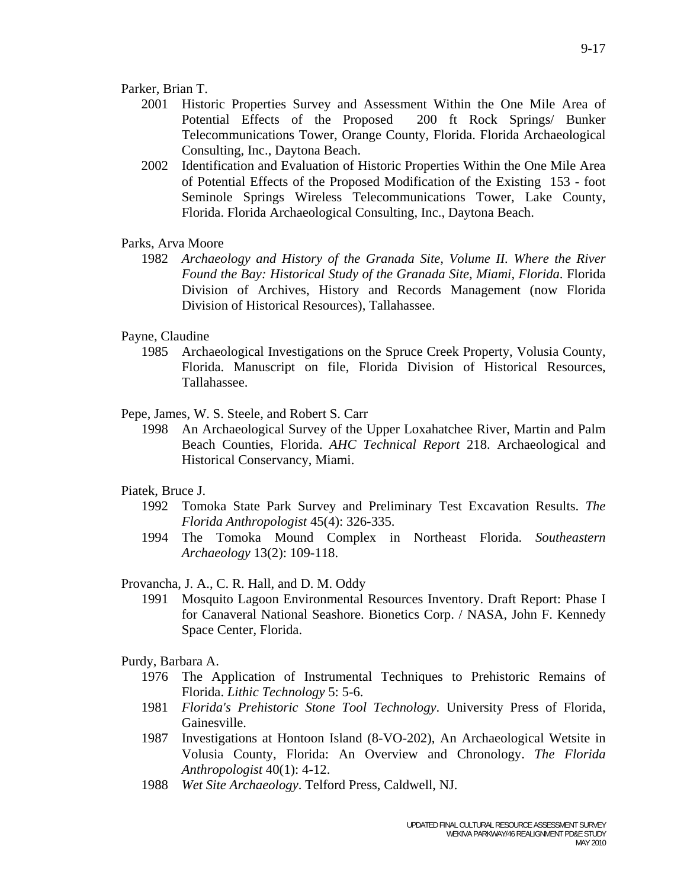- 2001 Historic Properties Survey and Assessment Within the One Mile Area of Potential Effects of the Proposed 200 ft Rock Springs/ Bunker Telecommunications Tower, Orange County, Florida. Florida Archaeological Consulting, Inc., Daytona Beach.
- 2002 Identification and Evaluation of Historic Properties Within the One Mile Area of Potential Effects of the Proposed Modification of the Existing 153 - foot Seminole Springs Wireless Telecommunications Tower, Lake County, Florida. Florida Archaeological Consulting, Inc., Daytona Beach.

## Parks, Arva Moore

 1982 *Archaeology and History of the Granada Site, Volume II. Where the River Found the Bay: Historical Study of the Granada Site, Miami, Florida*. Florida Division of Archives, History and Records Management (now Florida Division of Historical Resources), Tallahassee.

## Payne, Claudine

 1985 Archaeological Investigations on the Spruce Creek Property, Volusia County, Florida. Manuscript on file, Florida Division of Historical Resources, Tallahassee.

## Pepe, James, W. S. Steele, and Robert S. Carr

 1998 An Archaeological Survey of the Upper Loxahatchee River, Martin and Palm Beach Counties, Florida. *AHC Technical Report* 218. Archaeological and Historical Conservancy, Miami.

### Piatek, Bruce J.

- 1992 Tomoka State Park Survey and Preliminary Test Excavation Results. *The Florida Anthropologist* 45(4): 326-335.
- 1994 The Tomoka Mound Complex in Northeast Florida. *Southeastern Archaeology* 13(2): 109-118.

### Provancha, J. A., C. R. Hall, and D. M. Oddy

 1991 Mosquito Lagoon Environmental Resources Inventory. Draft Report: Phase I for Canaveral National Seashore. Bionetics Corp. / NASA, John F. Kennedy Space Center, Florida.

### Purdy, Barbara A.

- 1976 The Application of Instrumental Techniques to Prehistoric Remains of Florida. *Lithic Technology* 5: 5-6.
- 1981 *Florida's Prehistoric Stone Tool Technology*. University Press of Florida, Gainesville.
- 1987 Investigations at Hontoon Island (8-VO-202), An Archaeological Wetsite in Volusia County, Florida: An Overview and Chronology. *The Florida Anthropologist* 40(1): 4-12.
- 1988 *Wet Site Archaeology*. Telford Press, Caldwell, NJ.

MAY 2010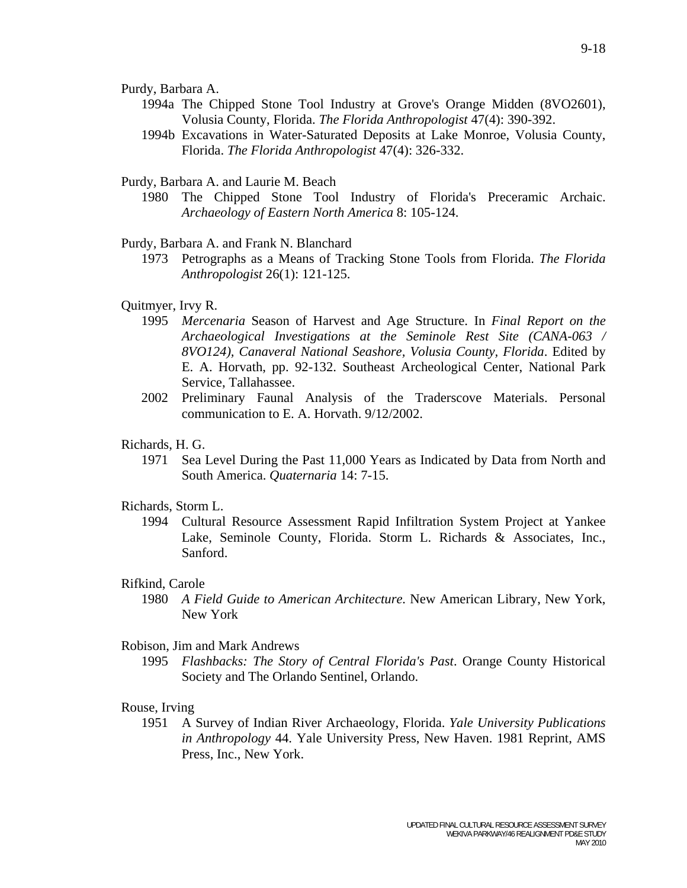Purdy, Barbara A.

- 1994a The Chipped Stone Tool Industry at Grove's Orange Midden (8VO2601), Volusia County, Florida. *The Florida Anthropologist* 47(4): 390-392.
- 1994b Excavations in Water-Saturated Deposits at Lake Monroe, Volusia County, Florida. *The Florida Anthropologist* 47(4): 326-332.

Purdy, Barbara A. and Laurie M. Beach

 1980 The Chipped Stone Tool Industry of Florida's Preceramic Archaic. *Archaeology of Eastern North America* 8: 105-124.

Purdy, Barbara A. and Frank N. Blanchard

 1973 Petrographs as a Means of Tracking Stone Tools from Florida. *The Florida Anthropologist* 26(1): 121-125.

### Quitmyer, Irvy R.

- 1995 *Mercenaria* Season of Harvest and Age Structure. In *Final Report on the Archaeological Investigations at the Seminole Rest Site (CANA-063 / 8VO124), Canaveral National Seashore, Volusia County, Florida*. Edited by E. A. Horvath, pp. 92-132. Southeast Archeological Center, National Park Service, Tallahassee.
- 2002 Preliminary Faunal Analysis of the Traderscove Materials. Personal communication to E. A. Horvath. 9/12/2002.

## Richards, H. G.

 1971 Sea Level During the Past 11,000 Years as Indicated by Data from North and South America. *Quaternaria* 14: 7-15.

## Richards, Storm L.

 1994 Cultural Resource Assessment Rapid Infiltration System Project at Yankee Lake, Seminole County, Florida. Storm L. Richards & Associates, Inc., Sanford.

#### Rifkind, Carole

 1980 *A Field Guide to American Architecture.* New American Library, New York, New York

#### Robison, Jim and Mark Andrews

 1995 *Flashbacks: The Story of Central Florida's Past*. Orange County Historical Society and The Orlando Sentinel, Orlando.

### Rouse, Irving

 1951 A Survey of Indian River Archaeology, Florida. *Yale University Publications in Anthropology* 44. Yale University Press, New Haven. 1981 Reprint, AMS Press, Inc., New York.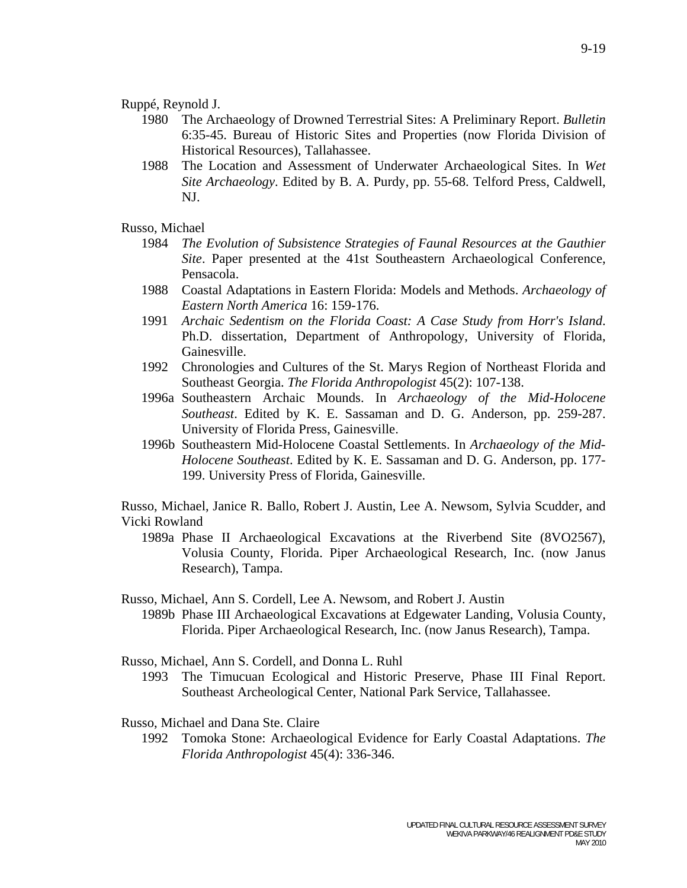## Ruppé, Reynold J.

- 1980 The Archaeology of Drowned Terrestrial Sites: A Preliminary Report. *Bulletin* 6:35-45. Bureau of Historic Sites and Properties (now Florida Division of Historical Resources), Tallahassee.
- 1988 The Location and Assessment of Underwater Archaeological Sites. In *Wet Site Archaeology*. Edited by B. A. Purdy, pp. 55-68. Telford Press, Caldwell, NJ.

## Russo, Michael

- 1984 *The Evolution of Subsistence Strategies of Faunal Resources at the Gauthier Site*. Paper presented at the 41st Southeastern Archaeological Conference, Pensacola.
- 1988 Coastal Adaptations in Eastern Florida: Models and Methods. *Archaeology of Eastern North America* 16: 159-176.
- 1991 *Archaic Sedentism on the Florida Coast: A Case Study from Horr's Island*. Ph.D. dissertation, Department of Anthropology, University of Florida, Gainesville.
- 1992 Chronologies and Cultures of the St. Marys Region of Northeast Florida and Southeast Georgia. *The Florida Anthropologist* 45(2): 107-138.
- 1996a Southeastern Archaic Mounds. In *Archaeology of the Mid-Holocene Southeast*. Edited by K. E. Sassaman and D. G. Anderson, pp. 259-287. University of Florida Press, Gainesville.
- 1996b Southeastern Mid-Holocene Coastal Settlements. In *Archaeology of the Mid-Holocene Southeast*. Edited by K. E. Sassaman and D. G. Anderson, pp. 177- 199. University Press of Florida, Gainesville.

Russo, Michael, Janice R. Ballo, Robert J. Austin, Lee A. Newsom, Sylvia Scudder, and Vicki Rowland

 1989a Phase II Archaeological Excavations at the Riverbend Site (8VO2567), Volusia County, Florida. Piper Archaeological Research, Inc. (now Janus Research), Tampa.

## Russo, Michael, Ann S. Cordell, Lee A. Newsom, and Robert J. Austin

 1989b Phase III Archaeological Excavations at Edgewater Landing, Volusia County, Florida. Piper Archaeological Research, Inc. (now Janus Research), Tampa.

Russo, Michael, Ann S. Cordell, and Donna L. Ruhl

 1993 The Timucuan Ecological and Historic Preserve, Phase III Final Report. Southeast Archeological Center, National Park Service, Tallahassee.

Russo, Michael and Dana Ste. Claire

 1992 Tomoka Stone: Archaeological Evidence for Early Coastal Adaptations. *The Florida Anthropologist* 45(4): 336-346.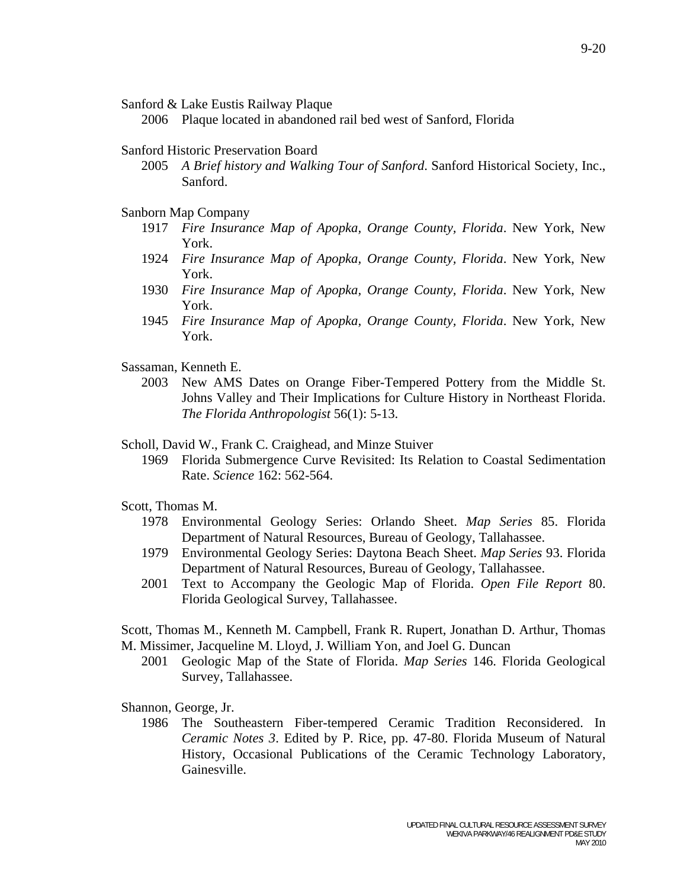Sanford & Lake Eustis Railway Plaque

2006 Plaque located in abandoned rail bed west of Sanford, Florida

## Sanford Historic Preservation Board

 2005 *A Brief history and Walking Tour of Sanford*. Sanford Historical Society, Inc., Sanford.

## Sanborn Map Company

- 1917 *Fire Insurance Map of Apopka, Orange County, Florida*. New York, New York.
- 1924 *Fire Insurance Map of Apopka, Orange County, Florida*. New York, New York.
- 1930 *Fire Insurance Map of Apopka, Orange County, Florida*. New York, New York.
- 1945 *Fire Insurance Map of Apopka, Orange County, Florida*. New York, New York.
- Sassaman, Kenneth E.
	- 2003 New AMS Dates on Orange Fiber-Tempered Pottery from the Middle St. Johns Valley and Their Implications for Culture History in Northeast Florida. *The Florida Anthropologist* 56(1): 5-13.

## Scholl, David W., Frank C. Craighead, and Minze Stuiver

 1969 Florida Submergence Curve Revisited: Its Relation to Coastal Sedimentation Rate. *Science* 162: 562-564.

# Scott, Thomas M.

- 1978 Environmental Geology Series: Orlando Sheet. *Map Series* 85. Florida Department of Natural Resources, Bureau of Geology, Tallahassee.
- 1979 Environmental Geology Series: Daytona Beach Sheet. *Map Series* 93. Florida Department of Natural Resources, Bureau of Geology, Tallahassee.
- 2001 Text to Accompany the Geologic Map of Florida. *Open File Report* 80. Florida Geological Survey, Tallahassee.

Scott, Thomas M., Kenneth M. Campbell, Frank R. Rupert, Jonathan D. Arthur, Thomas M. Missimer, Jacqueline M. Lloyd, J. William Yon, and Joel G. Duncan

 2001 Geologic Map of the State of Florida. *Map Series* 146. Florida Geological Survey, Tallahassee.

Shannon, George, Jr.

 1986 The Southeastern Fiber-tempered Ceramic Tradition Reconsidered. In *Ceramic Notes 3*. Edited by P. Rice, pp. 47-80. Florida Museum of Natural History, Occasional Publications of the Ceramic Technology Laboratory, Gainesville.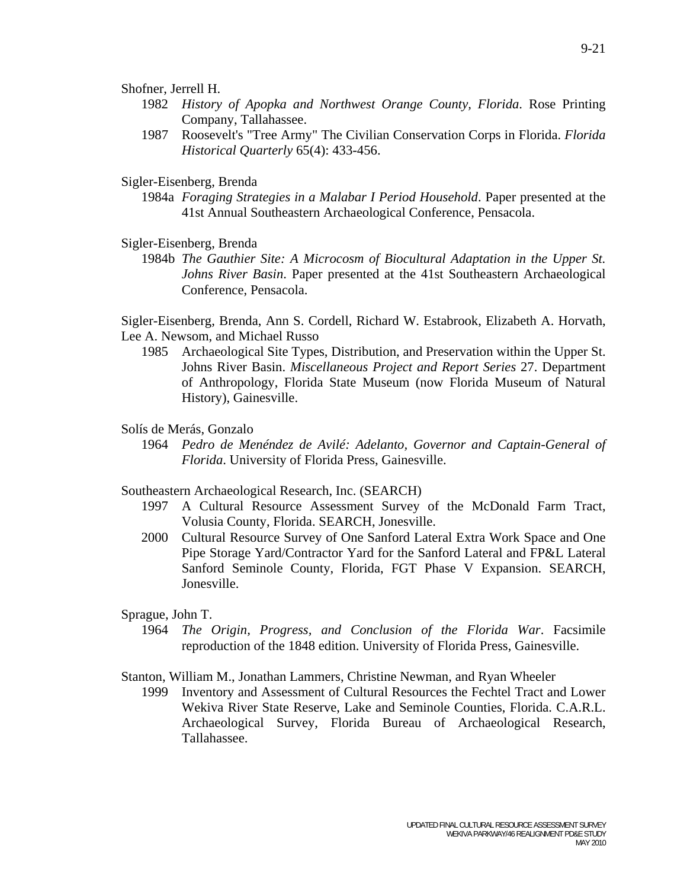Shofner, Jerrell H.

- 1982 *History of Apopka and Northwest Orange County, Florida*. Rose Printing Company, Tallahassee.
- 1987 Roosevelt's "Tree Army" The Civilian Conservation Corps in Florida. *Florida Historical Quarterly* 65(4): 433-456.

Sigler-Eisenberg, Brenda

 1984a *Foraging Strategies in a Malabar I Period Household*. Paper presented at the 41st Annual Southeastern Archaeological Conference, Pensacola.

Sigler-Eisenberg, Brenda

 1984b *The Gauthier Site: A Microcosm of Biocultural Adaptation in the Upper St. Johns River Basin*. Paper presented at the 41st Southeastern Archaeological Conference, Pensacola.

Sigler-Eisenberg, Brenda, Ann S. Cordell, Richard W. Estabrook, Elizabeth A. Horvath, Lee A. Newsom, and Michael Russo

 1985 Archaeological Site Types, Distribution, and Preservation within the Upper St. Johns River Basin. *Miscellaneous Project and Report Series* 27. Department of Anthropology, Florida State Museum (now Florida Museum of Natural History), Gainesville.

#### Solís de Merás, Gonzalo

 1964 *Pedro de Menéndez de Avilé: Adelanto, Governor and Captain-General of Florida*. University of Florida Press, Gainesville.

Southeastern Archaeological Research, Inc. (SEARCH)

- 1997 A Cultural Resource Assessment Survey of the McDonald Farm Tract, Volusia County, Florida. SEARCH, Jonesville.
- 2000 Cultural Resource Survey of One Sanford Lateral Extra Work Space and One Pipe Storage Yard/Contractor Yard for the Sanford Lateral and FP&L Lateral Sanford Seminole County, Florida, FGT Phase V Expansion. SEARCH, Jonesville.

Sprague, John T.

 1964 *The Origin, Progress, and Conclusion of the Florida War*. Facsimile reproduction of the 1848 edition. University of Florida Press, Gainesville.

Stanton, William M., Jonathan Lammers, Christine Newman, and Ryan Wheeler

 1999 Inventory and Assessment of Cultural Resources the Fechtel Tract and Lower Wekiva River State Reserve, Lake and Seminole Counties, Florida. C.A.R.L. Archaeological Survey, Florida Bureau of Archaeological Research, Tallahassee.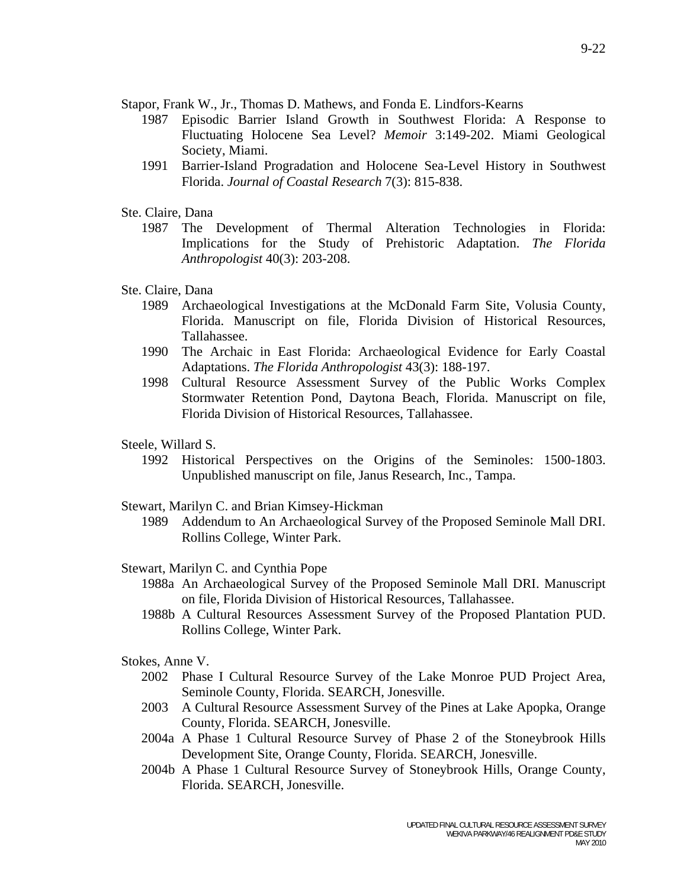Stapor, Frank W., Jr., Thomas D. Mathews, and Fonda E. Lindfors-Kearns

- 1987 Episodic Barrier Island Growth in Southwest Florida: A Response to Fluctuating Holocene Sea Level? *Memoir* 3:149-202. Miami Geological Society, Miami.
- 1991 Barrier-Island Progradation and Holocene Sea-Level History in Southwest Florida. *Journal of Coastal Research* 7(3): 815-838.
- Ste. Claire, Dana
	- 1987 The Development of Thermal Alteration Technologies in Florida: Implications for the Study of Prehistoric Adaptation. *The Florida Anthropologist* 40(3): 203-208.
- Ste. Claire, Dana
	- 1989 Archaeological Investigations at the McDonald Farm Site, Volusia County, Florida. Manuscript on file, Florida Division of Historical Resources, Tallahassee.
	- 1990 The Archaic in East Florida: Archaeological Evidence for Early Coastal Adaptations. *The Florida Anthropologist* 43(3): 188-197.
	- 1998 Cultural Resource Assessment Survey of the Public Works Complex Stormwater Retention Pond, Daytona Beach, Florida. Manuscript on file, Florida Division of Historical Resources, Tallahassee.
- Steele, Willard S.
	- 1992 Historical Perspectives on the Origins of the Seminoles: 1500-1803. Unpublished manuscript on file, Janus Research, Inc., Tampa.
- Stewart, Marilyn C. and Brian Kimsey-Hickman
	- 1989 Addendum to An Archaeological Survey of the Proposed Seminole Mall DRI. Rollins College, Winter Park.
- Stewart, Marilyn C. and Cynthia Pope
	- 1988a An Archaeological Survey of the Proposed Seminole Mall DRI. Manuscript on file, Florida Division of Historical Resources, Tallahassee.
	- 1988b A Cultural Resources Assessment Survey of the Proposed Plantation PUD. Rollins College, Winter Park.
- Stokes, Anne V.
	- 2002 Phase I Cultural Resource Survey of the Lake Monroe PUD Project Area, Seminole County, Florida. SEARCH, Jonesville.
	- 2003 A Cultural Resource Assessment Survey of the Pines at Lake Apopka, Orange County, Florida. SEARCH, Jonesville.
	- 2004a A Phase 1 Cultural Resource Survey of Phase 2 of the Stoneybrook Hills Development Site, Orange County, Florida. SEARCH, Jonesville.
	- 2004b A Phase 1 Cultural Resource Survey of Stoneybrook Hills, Orange County, Florida. SEARCH, Jonesville.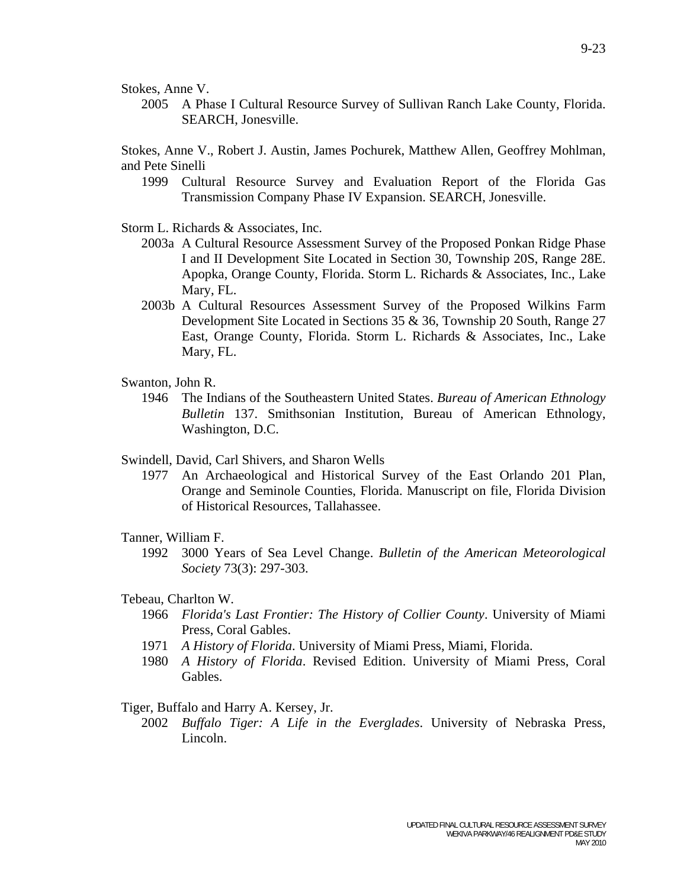Stokes, Anne V.

 2005 A Phase I Cultural Resource Survey of Sullivan Ranch Lake County, Florida. SEARCH, Jonesville.

Stokes, Anne V., Robert J. Austin, James Pochurek, Matthew Allen, Geoffrey Mohlman, and Pete Sinelli

- 1999 Cultural Resource Survey and Evaluation Report of the Florida Gas Transmission Company Phase IV Expansion. SEARCH, Jonesville.
- Storm L. Richards & Associates, Inc.
	- 2003a A Cultural Resource Assessment Survey of the Proposed Ponkan Ridge Phase I and II Development Site Located in Section 30, Township 20S, Range 28E. Apopka, Orange County, Florida. Storm L. Richards & Associates, Inc., Lake Mary, FL.
	- 2003b A Cultural Resources Assessment Survey of the Proposed Wilkins Farm Development Site Located in Sections 35 & 36, Township 20 South, Range 27 East, Orange County, Florida. Storm L. Richards & Associates, Inc., Lake Mary, FL.
- Swanton, John R.
	- 1946 The Indians of the Southeastern United States. *Bureau of American Ethnology Bulletin* 137. Smithsonian Institution, Bureau of American Ethnology, Washington, D.C.
- Swindell, David, Carl Shivers, and Sharon Wells
	- 1977 An Archaeological and Historical Survey of the East Orlando 201 Plan, Orange and Seminole Counties, Florida. Manuscript on file, Florida Division of Historical Resources, Tallahassee.

## Tanner, William F.

 1992 3000 Years of Sea Level Change. *Bulletin of the American Meteorological Society* 73(3): 297-303.

## Tebeau, Charlton W.

- 1966 *Florida's Last Frontier: The History of Collier County*. University of Miami Press, Coral Gables.
- 1971 *A History of Florida*. University of Miami Press, Miami, Florida.
- 1980 *A History of Florida*. Revised Edition. University of Miami Press, Coral Gables.

## Tiger, Buffalo and Harry A. Kersey, Jr.

 2002 *Buffalo Tiger: A Life in the Everglades*. University of Nebraska Press, Lincoln.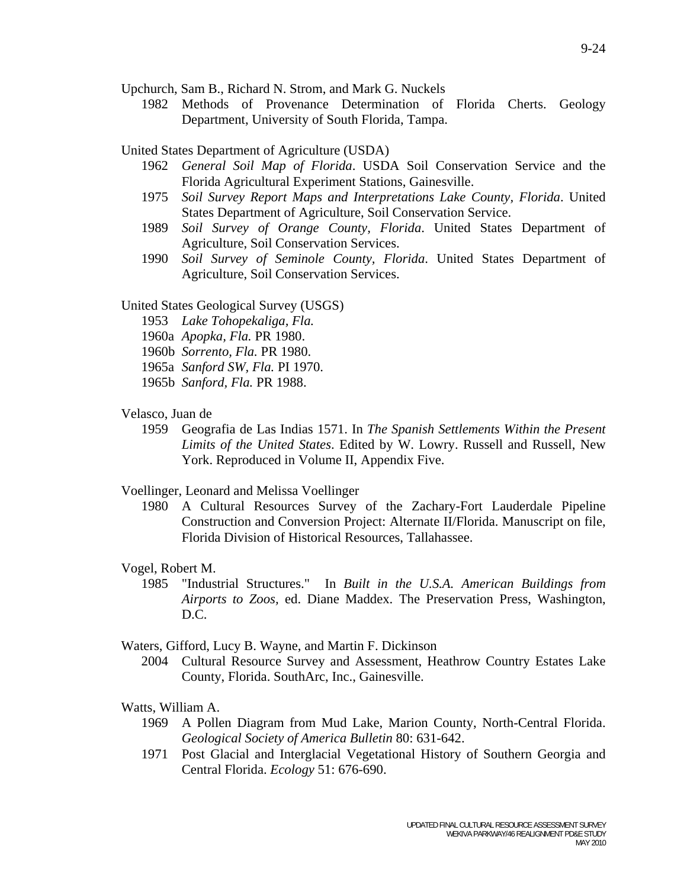Upchurch, Sam B., Richard N. Strom, and Mark G. Nuckels

 1982 Methods of Provenance Determination of Florida Cherts. Geology Department, University of South Florida, Tampa.

## United States Department of Agriculture (USDA)

- 1962 *General Soil Map of Florida*. USDA Soil Conservation Service and the Florida Agricultural Experiment Stations, Gainesville.
- 1975 *Soil Survey Report Maps and Interpretations Lake County, Florida*. United States Department of Agriculture, Soil Conservation Service.
- 1989 *Soil Survey of Orange County, Florida*. United States Department of Agriculture, Soil Conservation Services.
- 1990 *Soil Survey of Seminole County, Florida*. United States Department of Agriculture, Soil Conservation Services.

## United States Geological Survey (USGS)

- 1953 *Lake Tohopekaliga, Fla.*
- 1960a *Apopka, Fla.* PR 1980.
- 1960b *Sorrento, Fla.* PR 1980.
- 1965a *Sanford SW, Fla.* PI 1970.
- 1965b *Sanford, Fla.* PR 1988.

## Velasco, Juan de

 1959 Geografia de Las Indias 1571. In *The Spanish Settlements Within the Present Limits of the United States*. Edited by W. Lowry. Russell and Russell, New York. Reproduced in Volume II, Appendix Five.

### Voellinger, Leonard and Melissa Voellinger

 1980 A Cultural Resources Survey of the Zachary-Fort Lauderdale Pipeline Construction and Conversion Project: Alternate II/Florida. Manuscript on file, Florida Division of Historical Resources, Tallahassee.

### Vogel, Robert M.

 1985 "Industrial Structures." In *Built in the U.S.A. American Buildings from Airports to Zoos,* ed. Diane Maddex. The Preservation Press, Washington, D.C.

### Waters, Gifford, Lucy B. Wayne, and Martin F. Dickinson

 2004 Cultural Resource Survey and Assessment, Heathrow Country Estates Lake County, Florida. SouthArc, Inc., Gainesville.

## Watts, William A.

- 1969 A Pollen Diagram from Mud Lake, Marion County, North-Central Florida. *Geological Society of America Bulletin* 80: 631-642.
- 1971 Post Glacial and Interglacial Vegetational History of Southern Georgia and Central Florida. *Ecology* 51: 676-690.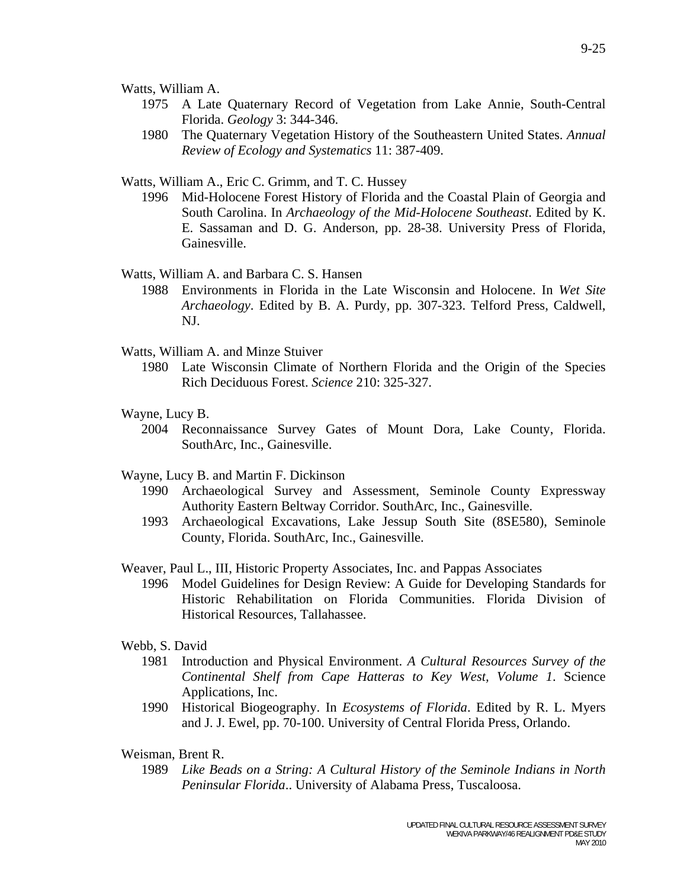Watts, William A.

- 1975 A Late Quaternary Record of Vegetation from Lake Annie, South-Central Florida. *Geology* 3: 344-346.
- 1980 The Quaternary Vegetation History of the Southeastern United States. *Annual Review of Ecology and Systematics* 11: 387-409.

Watts, William A., Eric C. Grimm, and T. C. Hussey

 1996 Mid-Holocene Forest History of Florida and the Coastal Plain of Georgia and South Carolina. In *Archaeology of the Mid-Holocene Southeast*. Edited by K. E. Sassaman and D. G. Anderson, pp. 28-38. University Press of Florida, Gainesville.

Watts, William A. and Barbara C. S. Hansen

- 1988 Environments in Florida in the Late Wisconsin and Holocene. In *Wet Site Archaeology*. Edited by B. A. Purdy, pp. 307-323. Telford Press, Caldwell, NJ.
- Watts, William A. and Minze Stuiver
	- 1980 Late Wisconsin Climate of Northern Florida and the Origin of the Species Rich Deciduous Forest. *Science* 210: 325-327.
- Wayne, Lucy B.
	- 2004 Reconnaissance Survey Gates of Mount Dora, Lake County, Florida. SouthArc, Inc., Gainesville.
- Wayne, Lucy B. and Martin F. Dickinson
	- 1990 Archaeological Survey and Assessment, Seminole County Expressway Authority Eastern Beltway Corridor. SouthArc, Inc., Gainesville.
	- 1993 Archaeological Excavations, Lake Jessup South Site (8SE580), Seminole County, Florida. SouthArc, Inc., Gainesville.
- Weaver, Paul L., III, Historic Property Associates, Inc. and Pappas Associates
	- 1996 Model Guidelines for Design Review: A Guide for Developing Standards for Historic Rehabilitation on Florida Communities. Florida Division of Historical Resources, Tallahassee.

#### Webb, S. David

- 1981 Introduction and Physical Environment. *A Cultural Resources Survey of the Continental Shelf from Cape Hatteras to Key West, Volume 1*. Science Applications, Inc.
- 1990 Historical Biogeography. In *Ecosystems of Florida*. Edited by R. L. Myers and J. J. Ewel, pp. 70-100. University of Central Florida Press, Orlando.
- Weisman, Brent R.
	- 1989 *Like Beads on a String: A Cultural History of the Seminole Indians in North Peninsular Florida*.. University of Alabama Press, Tuscaloosa.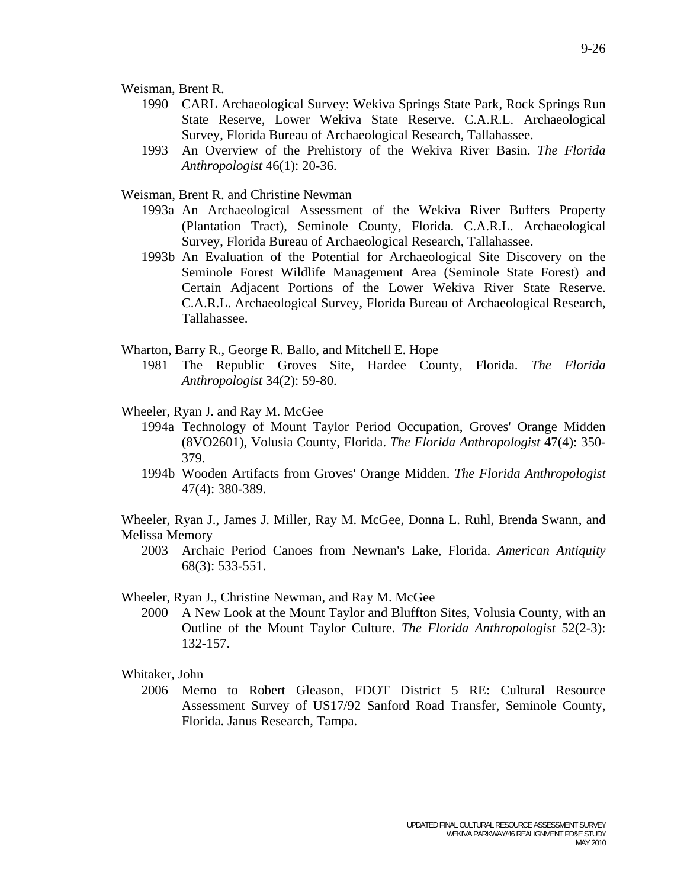Weisman, Brent R.

- 1990 CARL Archaeological Survey: Wekiva Springs State Park, Rock Springs Run State Reserve, Lower Wekiva State Reserve. C.A.R.L. Archaeological Survey, Florida Bureau of Archaeological Research, Tallahassee.
- 1993 An Overview of the Prehistory of the Wekiva River Basin. *The Florida Anthropologist* 46(1): 20-36.

Weisman, Brent R. and Christine Newman

- 1993a An Archaeological Assessment of the Wekiva River Buffers Property (Plantation Tract), Seminole County, Florida. C.A.R.L. Archaeological Survey, Florida Bureau of Archaeological Research, Tallahassee.
- 1993b An Evaluation of the Potential for Archaeological Site Discovery on the Seminole Forest Wildlife Management Area (Seminole State Forest) and Certain Adjacent Portions of the Lower Wekiva River State Reserve. C.A.R.L. Archaeological Survey, Florida Bureau of Archaeological Research, Tallahassee.
- Wharton, Barry R., George R. Ballo, and Mitchell E. Hope
	- 1981 The Republic Groves Site, Hardee County, Florida. *The Florida Anthropologist* 34(2): 59-80.
- Wheeler, Ryan J. and Ray M. McGee
	- 1994a Technology of Mount Taylor Period Occupation, Groves' Orange Midden (8VO2601), Volusia County, Florida. *The Florida Anthropologist* 47(4): 350- 379.
	- 1994b Wooden Artifacts from Groves' Orange Midden. *The Florida Anthropologist* 47(4): 380-389.

Wheeler, Ryan J., James J. Miller, Ray M. McGee, Donna L. Ruhl, Brenda Swann, and Melissa Memory

 2003 Archaic Period Canoes from Newnan's Lake, Florida. *American Antiquity* 68(3): 533-551.

#### Wheeler, Ryan J., Christine Newman, and Ray M. McGee

 2000 A New Look at the Mount Taylor and Bluffton Sites, Volusia County, with an Outline of the Mount Taylor Culture. *The Florida Anthropologist* 52(2-3): 132-157.

Whitaker, John

 2006 Memo to Robert Gleason, FDOT District 5 RE: Cultural Resource Assessment Survey of US17/92 Sanford Road Transfer, Seminole County, Florida. Janus Research, Tampa.